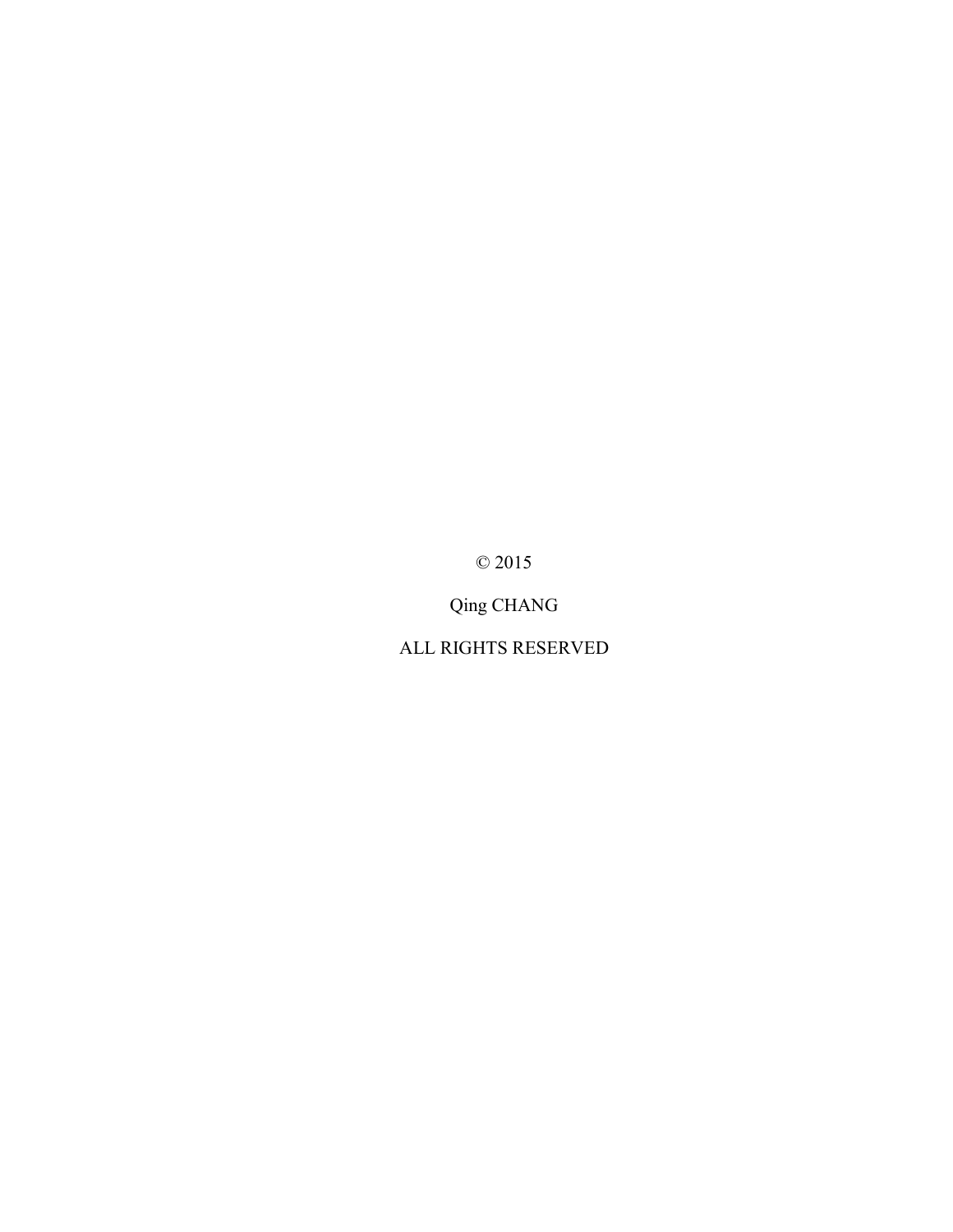© 2015

Qing CHANG

ALL RIGHTS RESERVED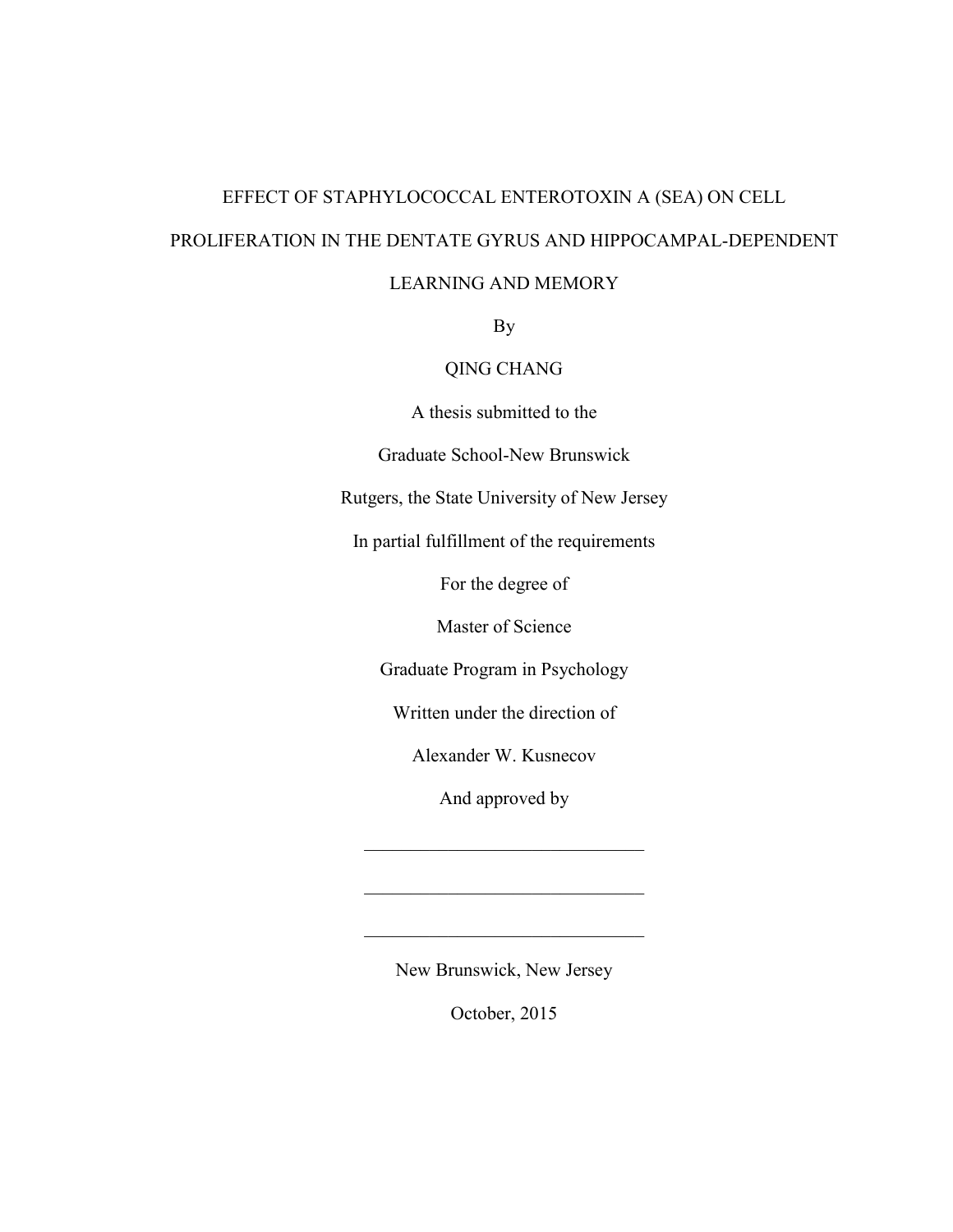# EFFECT OF STAPHYLOCOCCAL ENTEROTOXIN A (SEA) ON CELL PROLIFERATION IN THE DENTATE GYRUS AND HIPPOCAMPAL-DEPENDENT

# LEARNING AND MEMORY

By

# QING CHANG

A thesis submitted to the

Graduate School-New Brunswick

Rutgers, the State University of New Jersey

In partial fulfillment of the requirements

For the degree of

Master of Science

Graduate Program in Psychology

Written under the direction of

Alexander W. Kusnecov

And approved by

 $\mathcal{L}_\text{max}$  , where  $\mathcal{L}_\text{max}$  and  $\mathcal{L}_\text{max}$ 

 $\mathcal{L}_\text{max}$ 

New Brunswick, New Jersey

 $\mathcal{L}_\text{max}$  , where  $\mathcal{L}_\text{max}$  and  $\mathcal{L}_\text{max}$  and  $\mathcal{L}_\text{max}$ 

October, 2015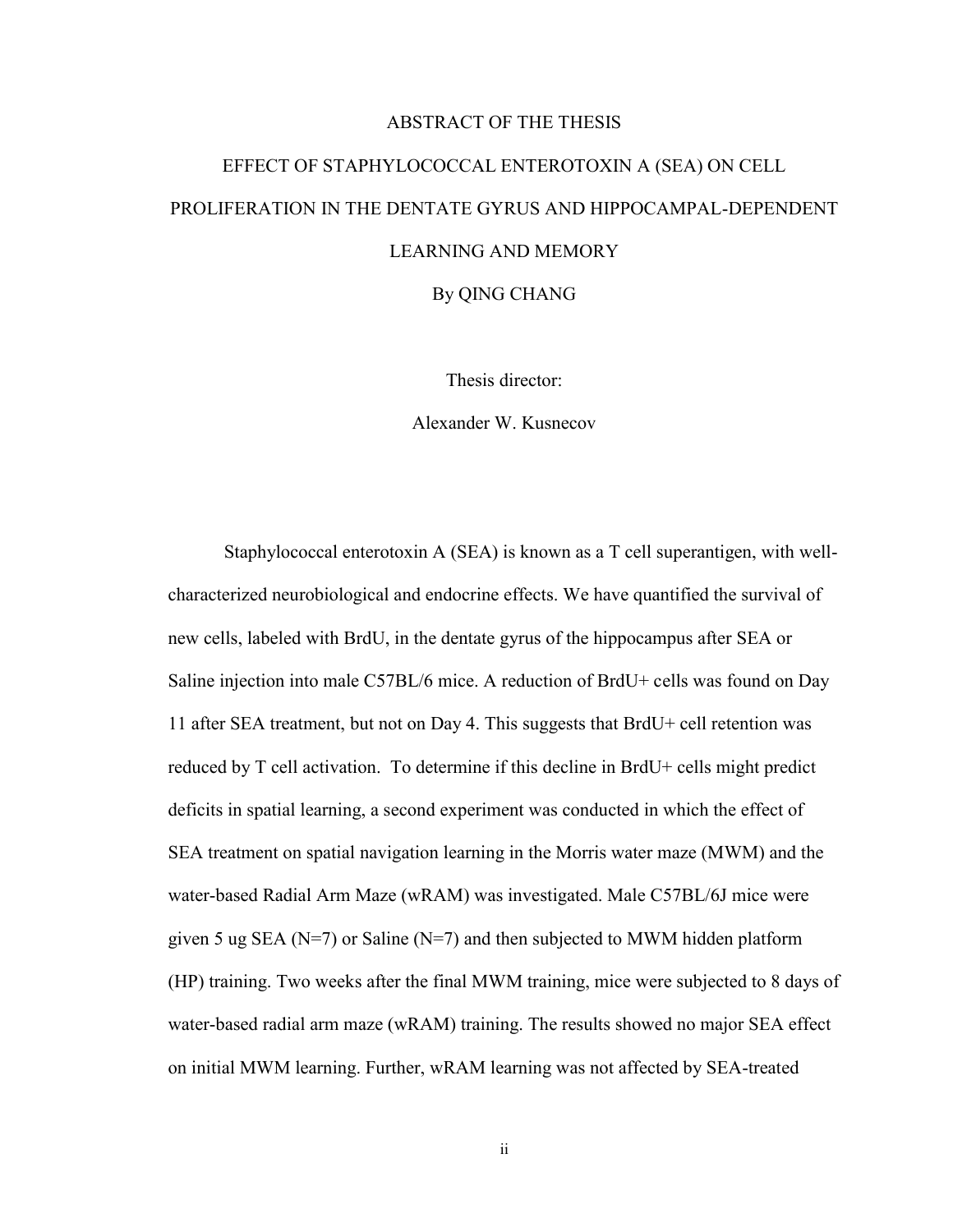# ABSTRACT OF THE THESIS

# EFFECT OF STAPHYLOCOCCAL ENTEROTOXIN A (SEA) ON CELL PROLIFERATION IN THE DENTATE GYRUS AND HIPPOCAMPAL-DEPENDENT LEARNING AND MEMORY

By QING CHANG

Thesis director:

Alexander W. Kusnecov

Staphylococcal enterotoxin A (SEA) is known as a T cell superantigen, with wellcharacterized neurobiological and endocrine effects. We have quantified the survival of new cells, labeled with BrdU, in the dentate gyrus of the hippocampus after SEA or Saline injection into male C57BL/6 mice. A reduction of BrdU+ cells was found on Day 11 after SEA treatment, but not on Day 4. This suggests that BrdU+ cell retention was reduced by T cell activation. To determine if this decline in BrdU+ cells might predict deficits in spatial learning, a second experiment was conducted in which the effect of SEA treatment on spatial navigation learning in the Morris water maze (MWM) and the water-based Radial Arm Maze (wRAM) was investigated. Male C57BL/6J mice were given 5 ug SEA ( $N=7$ ) or Saline ( $N=7$ ) and then subjected to MWM hidden platform (HP) training. Two weeks after the final MWM training, mice were subjected to 8 days of water-based radial arm maze (wRAM) training. The results showed no major SEA effect on initial MWM learning. Further, wRAM learning was not affected by SEA-treated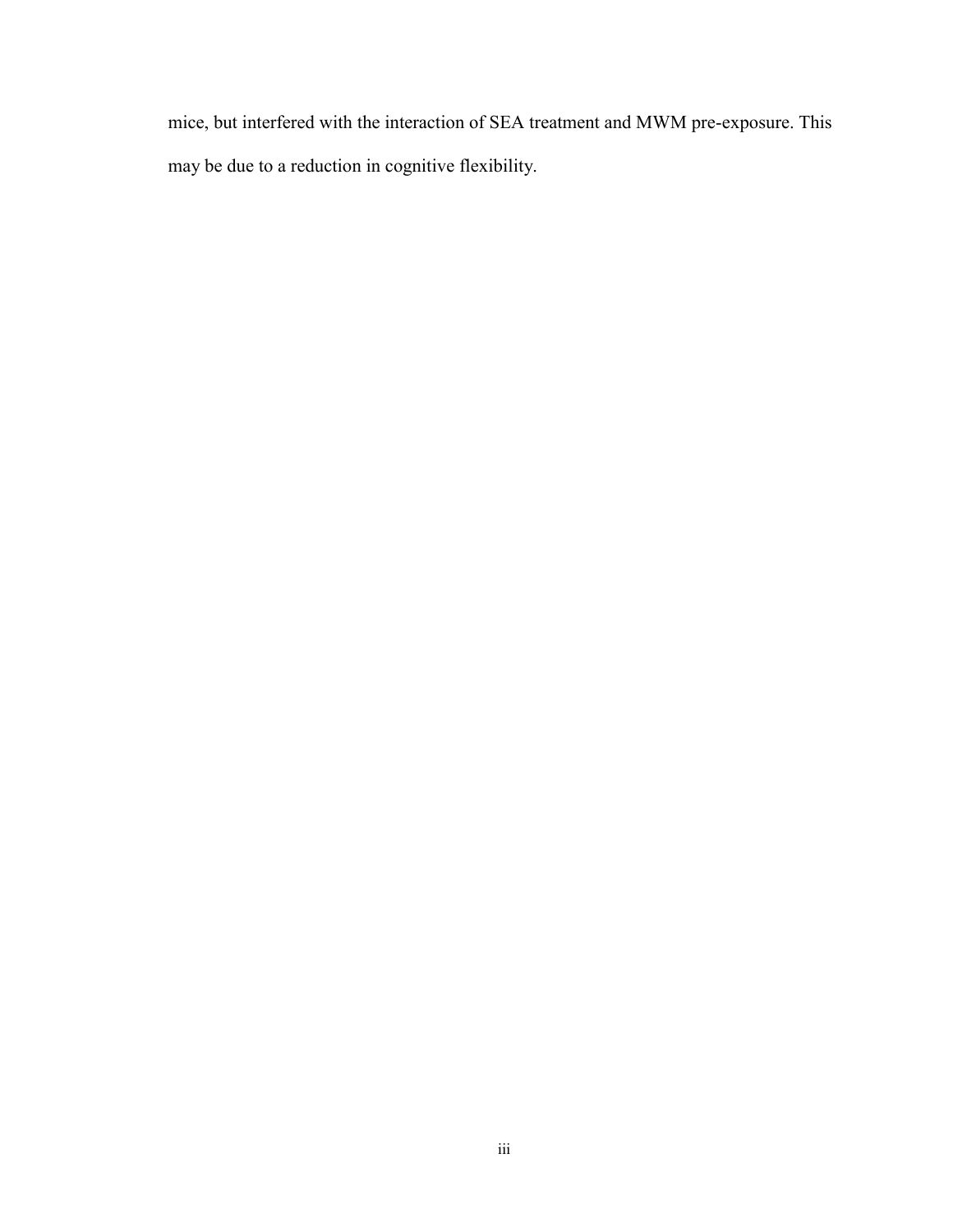mice, but interfered with the interaction of SEA treatment and MWM pre-exposure. This may be due to a reduction in cognitive flexibility.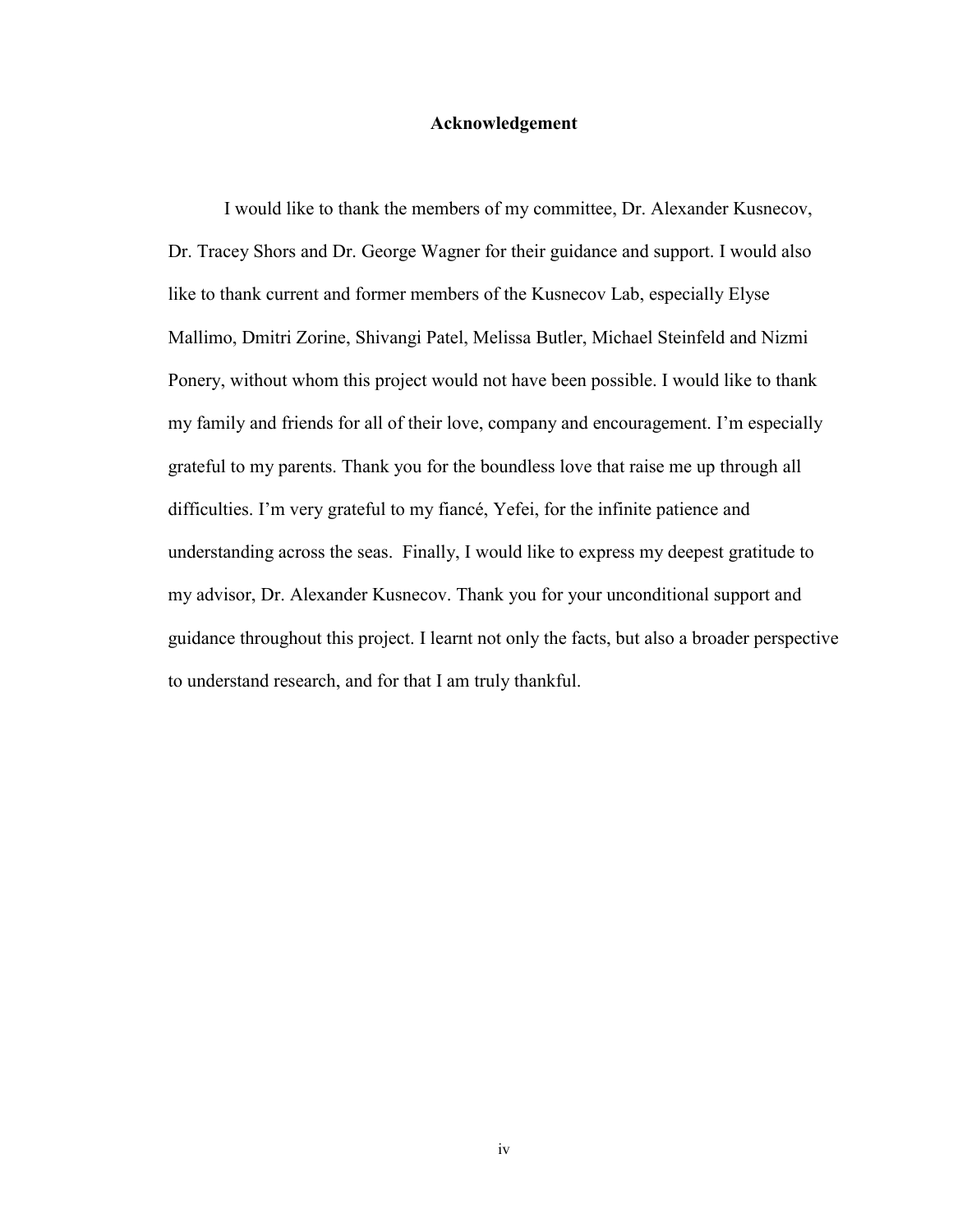# **Acknowledgement**

I would like to thank the members of my committee, Dr. Alexander Kusnecov, Dr. Tracey Shors and Dr. George Wagner for their guidance and support. I would also like to thank current and former members of the Kusnecov Lab, especially Elyse Mallimo, Dmitri Zorine, Shivangi Patel, Melissa Butler, Michael Steinfeld and Nizmi Ponery, without whom this project would not have been possible. I would like to thank my family and friends for all of their love, company and encouragement. I'm especially grateful to my parents. Thank you for the boundless love that raise me up through all difficulties. I'm very grateful to my fiancé, Yefei, for the infinite patience and understanding across the seas. Finally, I would like to express my deepest gratitude to my advisor, Dr. Alexander Kusnecov. Thank you for your unconditional support and guidance throughout this project. I learnt not only the facts, but also a broader perspective to understand research, and for that I am truly thankful.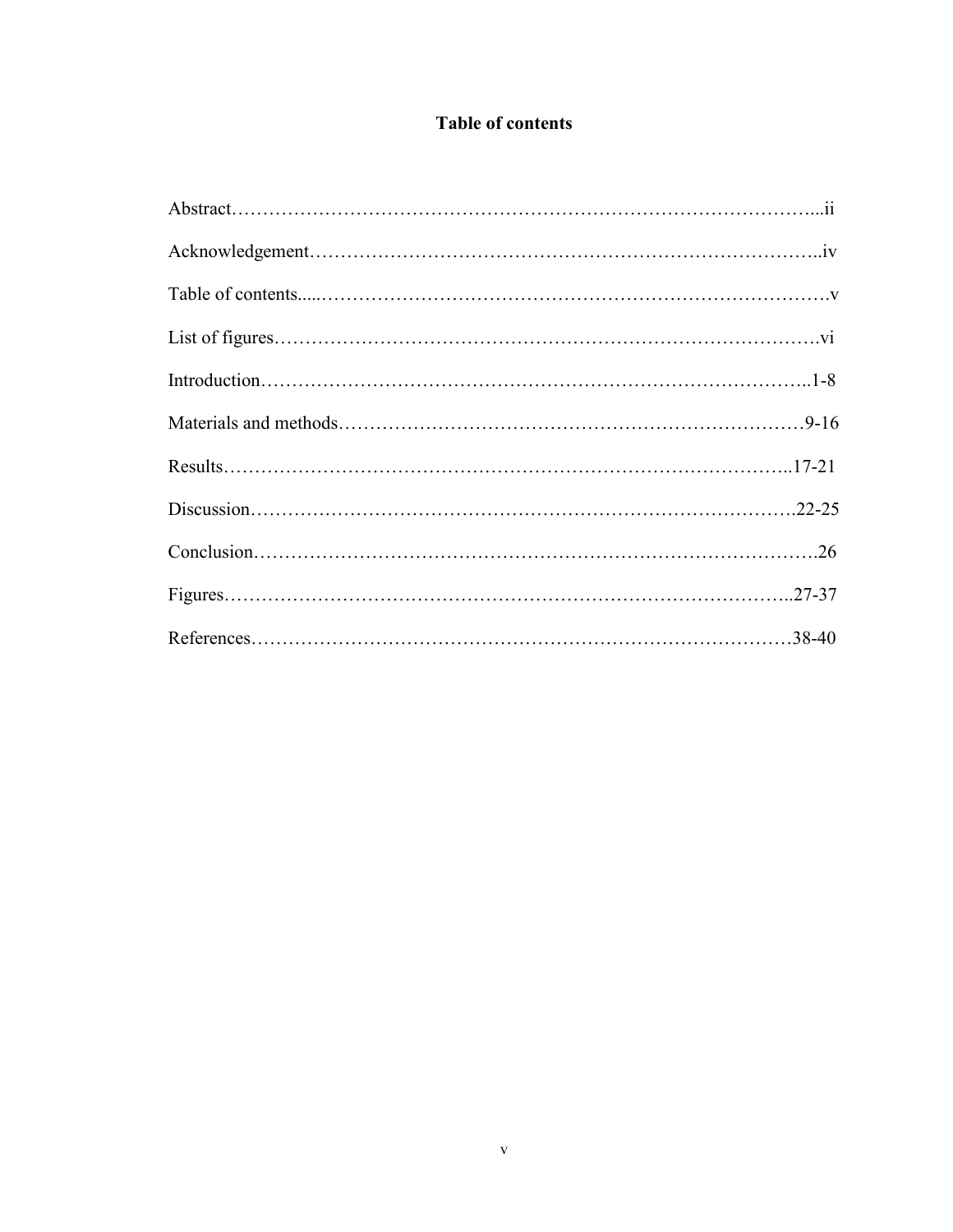# **Table of contents**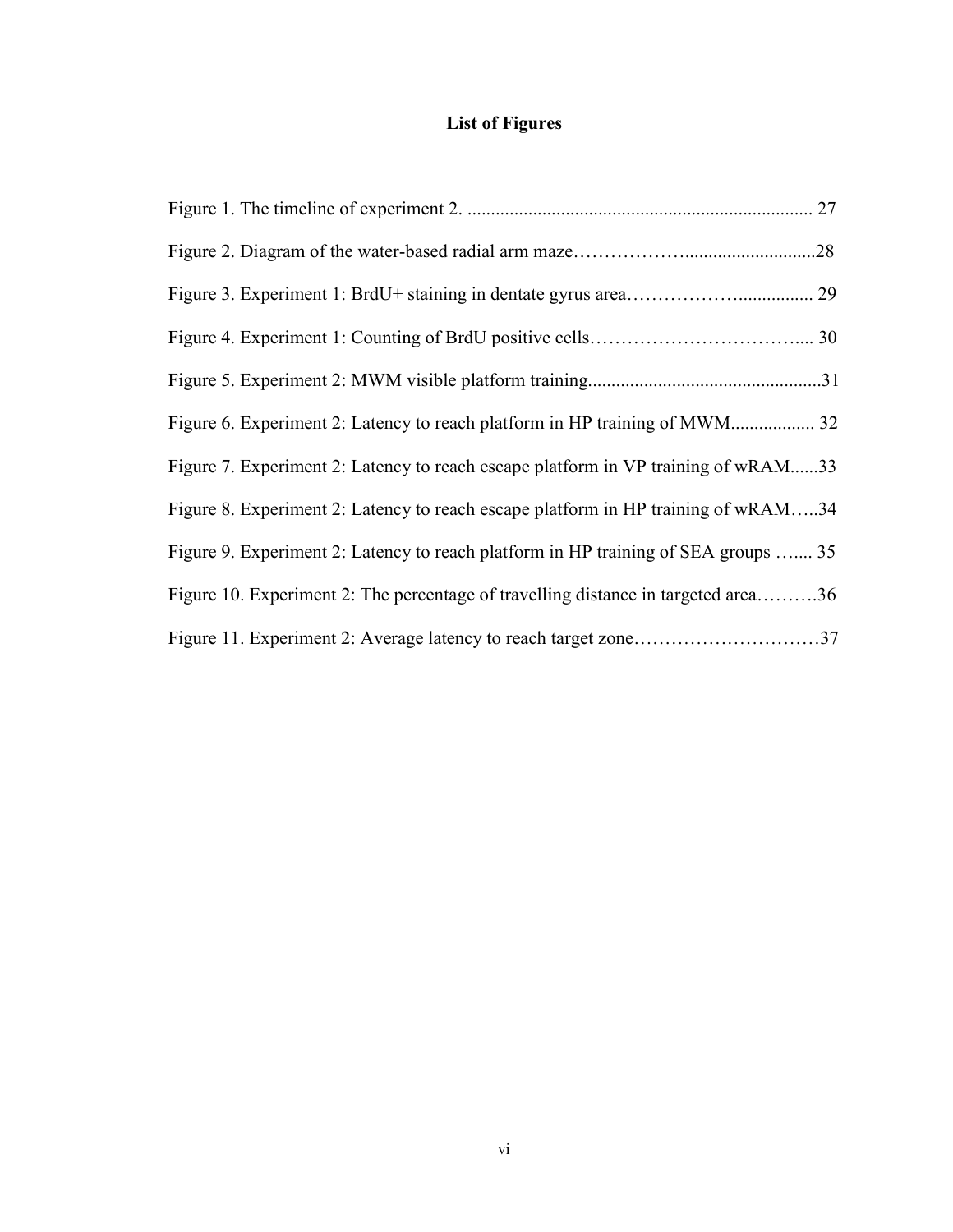# **List of Figures**

| Figure 7. Experiment 2: Latency to reach escape platform in VP training of wRAM33  |  |
|------------------------------------------------------------------------------------|--|
| Figure 8. Experiment 2: Latency to reach escape platform in HP training of wRAM34  |  |
| Figure 9. Experiment 2: Latency to reach platform in HP training of SEA groups  35 |  |
| Figure 10. Experiment 2: The percentage of travelling distance in targeted area36  |  |
| Figure 11. Experiment 2: Average latency to reach target zone37                    |  |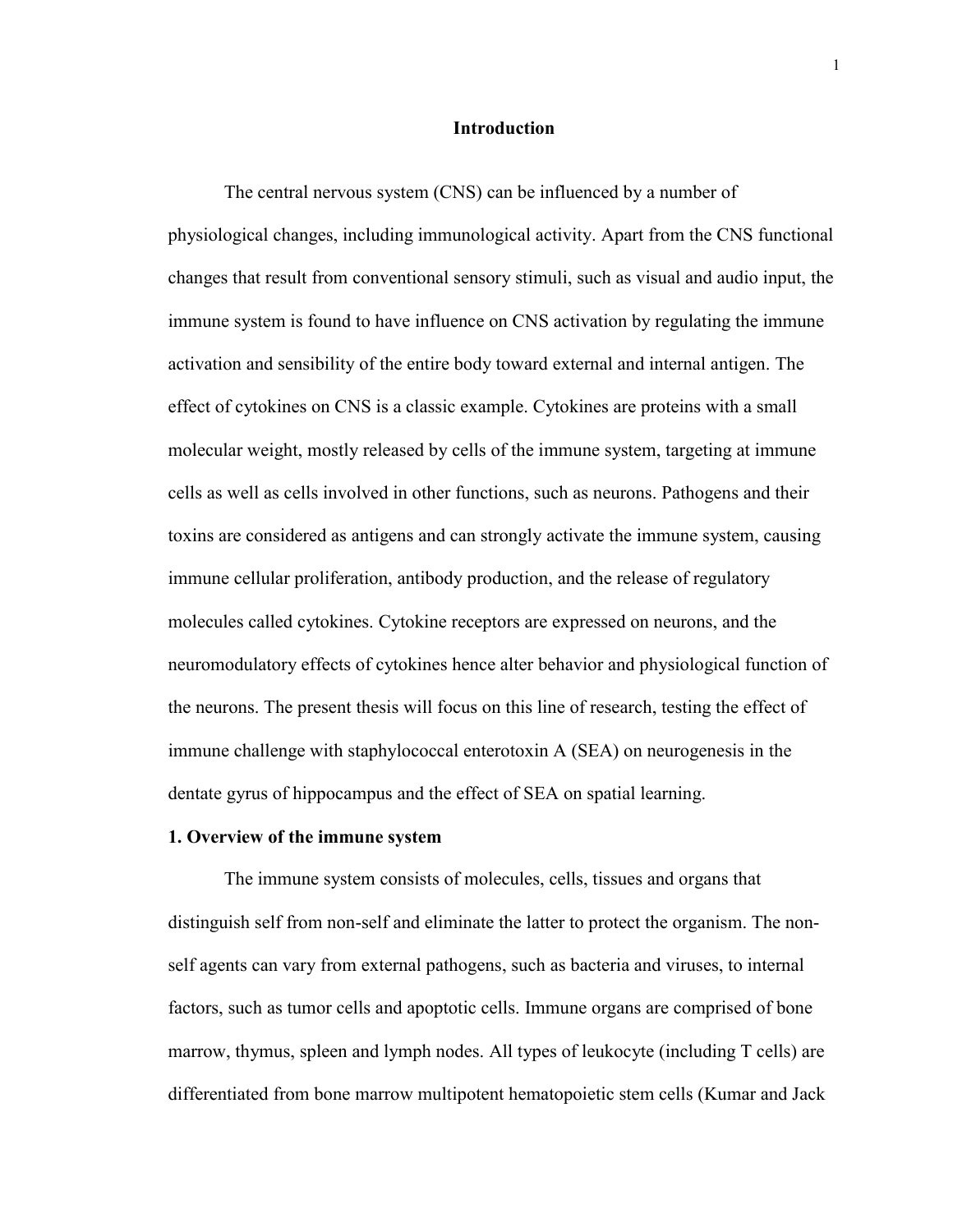# **Introduction**

The central nervous system (CNS) can be influenced by a number of physiological changes, including immunological activity. Apart from the CNS functional changes that result from conventional sensory stimuli, such as visual and audio input, the immune system is found to have influence on CNS activation by regulating the immune activation and sensibility of the entire body toward external and internal antigen. The effect of cytokines on CNS is a classic example. Cytokines are proteins with a small molecular weight, mostly released by cells of the immune system, targeting at immune cells as well as cells involved in other functions, such as neurons. Pathogens and their toxins are considered as antigens and can strongly activate the immune system, causing immune cellular proliferation, antibody production, and the release of regulatory molecules called cytokines. Cytokine receptors are expressed on neurons, and the neuromodulatory effects of cytokines hence alter behavior and physiological function of the neurons. The present thesis will focus on this line of research, testing the effect of immune challenge with staphylococcal enterotoxin A (SEA) on neurogenesis in the dentate gyrus of hippocampus and the effect of SEA on spatial learning.

#### **1. Overview of the immune system**

The immune system consists of molecules, cells, tissues and organs that distinguish self from non-self and eliminate the latter to protect the organism. The nonself agents can vary from external pathogens, such as bacteria and viruses, to internal factors, such as tumor cells and apoptotic cells. Immune organs are comprised of bone marrow, thymus, spleen and lymph nodes. All types of leukocyte (including T cells) are differentiated from bone marrow multipotent hematopoietic stem cells (Kumar and Jack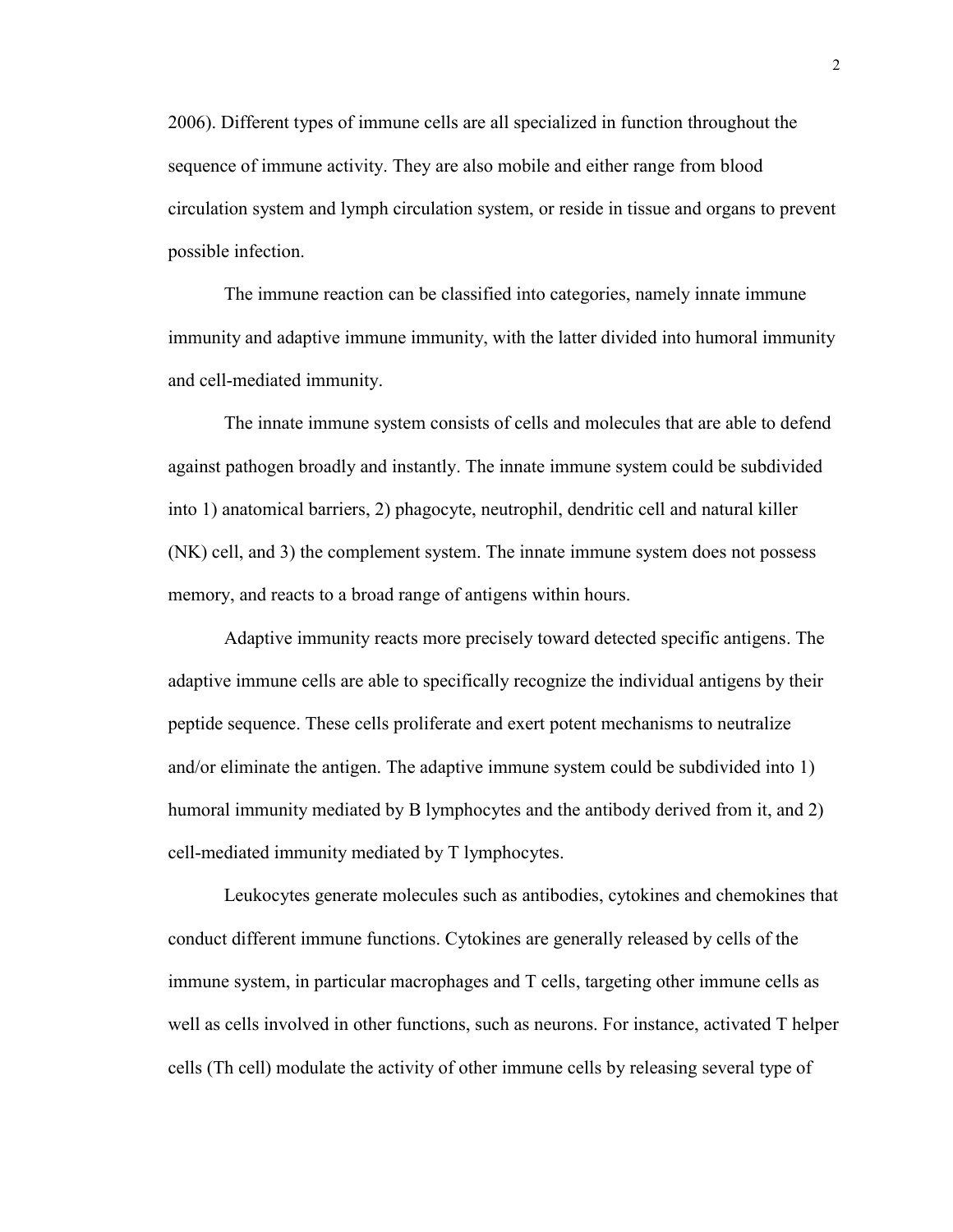2006). Different types of immune cells are all specialized in function throughout the sequence of immune activity. They are also mobile and either range from blood circulation system and lymph circulation system, or reside in tissue and organs to prevent possible infection.

The immune reaction can be classified into categories, namely innate immune immunity and adaptive immune immunity, with the latter divided into humoral immunity and cell-mediated immunity.

The innate immune system consists of cells and molecules that are able to defend against pathogen broadly and instantly. The innate immune system could be subdivided into 1) anatomical barriers, 2) phagocyte, neutrophil, dendritic cell and natural killer (NK) cell, and 3) the complement system. The innate immune system does not possess memory, and reacts to a broad range of antigens within hours.

Adaptive immunity reacts more precisely toward detected specific antigens. The adaptive immune cells are able to specifically recognize the individual antigens by their peptide sequence. These cells proliferate and exert potent mechanisms to neutralize and/or eliminate the antigen. The adaptive immune system could be subdivided into 1) humoral immunity mediated by B lymphocytes and the antibody derived from it, and 2) cell-mediated immunity mediated by T lymphocytes.

Leukocytes generate molecules such as antibodies, cytokines and chemokines that conduct different immune functions. Cytokines are generally released by cells of the immune system, in particular macrophages and T cells, targeting other immune cells as well as cells involved in other functions, such as neurons. For instance, activated T helper cells (Th cell) modulate the activity of other immune cells by releasing several type of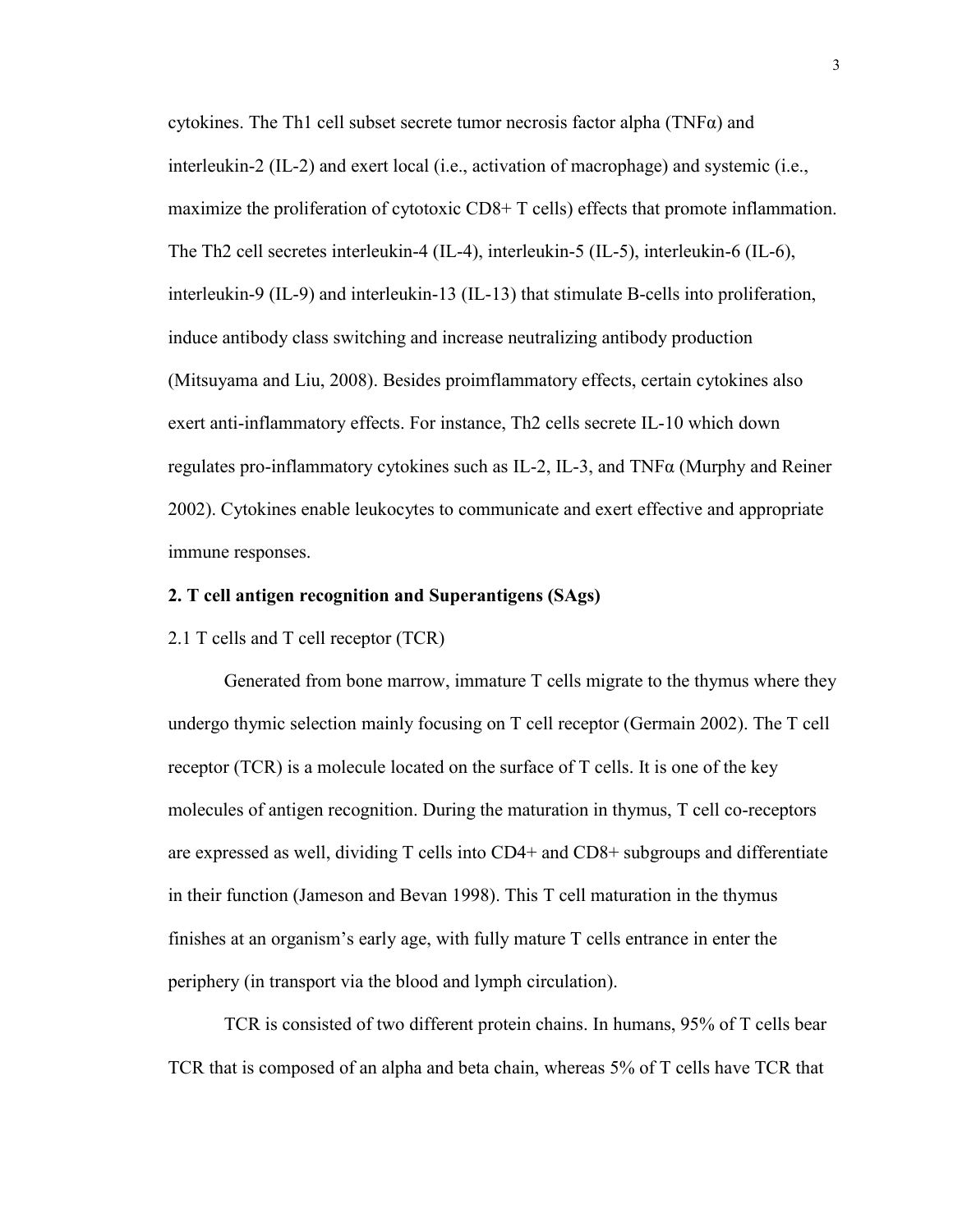cytokines. The Th1 cell subset secrete tumor necrosis factor alpha (TNF $\alpha$ ) and interleukin-2 (IL-2) and exert local (i.e., activation of macrophage) and systemic (i.e., maximize the proliferation of cytotoxic CD8+ T cells) effects that promote inflammation. The Th2 cell secretes interleukin-4 (IL-4), interleukin-5 (IL-5), interleukin-6 (IL-6), interleukin-9 (IL-9) and interleukin-13 (IL-13) that stimulate B-cells into proliferation, induce antibody class switching and increase neutralizing antibody production (Mitsuyama and Liu, 2008). Besides proimflammatory effects, certain cytokines also exert anti-inflammatory effects. For instance, Th2 cells secrete IL-10 which down regulates pro-inflammatory cytokines such as  $IL-2$ ,  $IL-3$ , and  $TNF\alpha$  (Murphy and Reiner 2002). Cytokines enable leukocytes to communicate and exert effective and appropriate immune responses.

# **2. T cell antigen recognition and Superantigens (SAgs)**

2.1 T cells and T cell receptor (TCR)

Generated from bone marrow, immature T cells migrate to the thymus where they undergo thymic selection mainly focusing on T cell receptor (Germain 2002). The T cell receptor (TCR) is a molecule located on the surface of T cells. It is one of the key molecules of antigen recognition. During the maturation in thymus, T cell co-receptors are expressed as well, dividing T cells into CD4+ and CD8+ subgroups and differentiate in their function (Jameson and Bevan 1998). This T cell maturation in the thymus finishes at an organism's early age, with fully mature T cells entrance in enter the periphery (in transport via the blood and lymph circulation).

TCR is consisted of two different protein chains. In humans, 95% of T cells bear TCR that is composed of an alpha and beta chain, whereas 5% of T cells have TCR that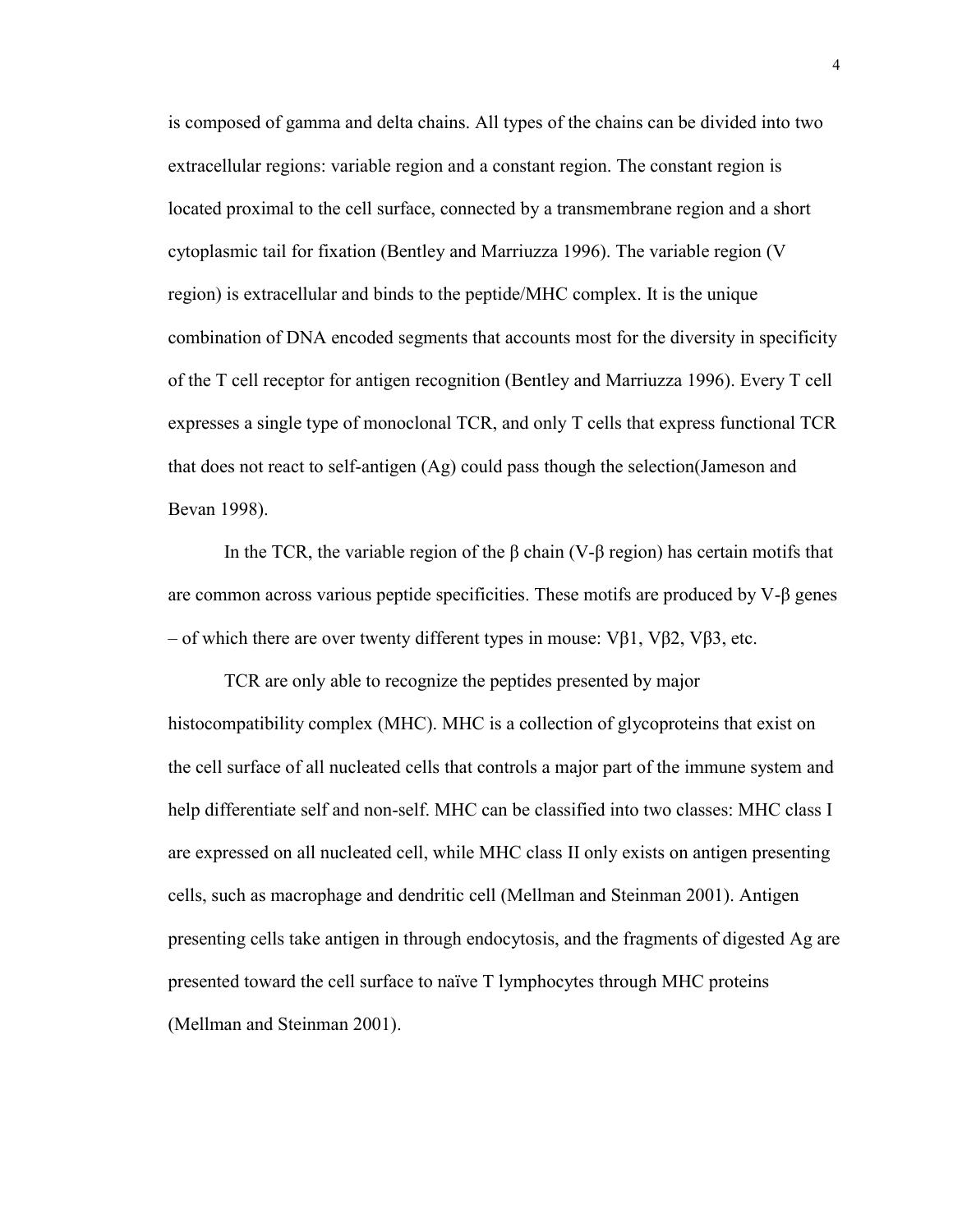is composed of gamma and delta chains. All types of the chains can be divided into two extracellular regions: variable region and a constant region. The constant region is located proximal to the cell surface, connected by a transmembrane region and a short cytoplasmic tail for fixation (Bentley and Marriuzza 1996). The variable region (V region) is extracellular and binds to the peptide/MHC complex. It is the unique combination of DNA encoded segments that accounts most for the diversity in specificity of the T cell receptor for antigen recognition (Bentley and Marriuzza 1996). Every T cell expresses a single type of monoclonal TCR, and only T cells that express functional TCR that does not react to self-antigen (Ag) could pass though the selection(Jameson and Bevan 1998).

In the TCR, the variable region of the β chain (V-β region) has certain motifs that are common across various peptide specificities. These motifs are produced by V-β genes – of which there are over twenty different types in mouse: Vβ1, Vβ2, Vβ3, etc.

TCR are only able to recognize the peptides presented by major histocompatibility complex (MHC). MHC is a collection of glycoproteins that exist on the cell surface of all nucleated cells that controls a major part of the immune system and help differentiate self and non-self. MHC can be classified into two classes: MHC class I are expressed on all nucleated cell, while MHC class II only exists on antigen presenting cells, such as macrophage and dendritic cell (Mellman and Steinman 2001). Antigen presenting cells take antigen in through endocytosis, and the fragments of digested Ag are presented toward the cell surface to naïve T lymphocytes through MHC proteins (Mellman and Steinman 2001).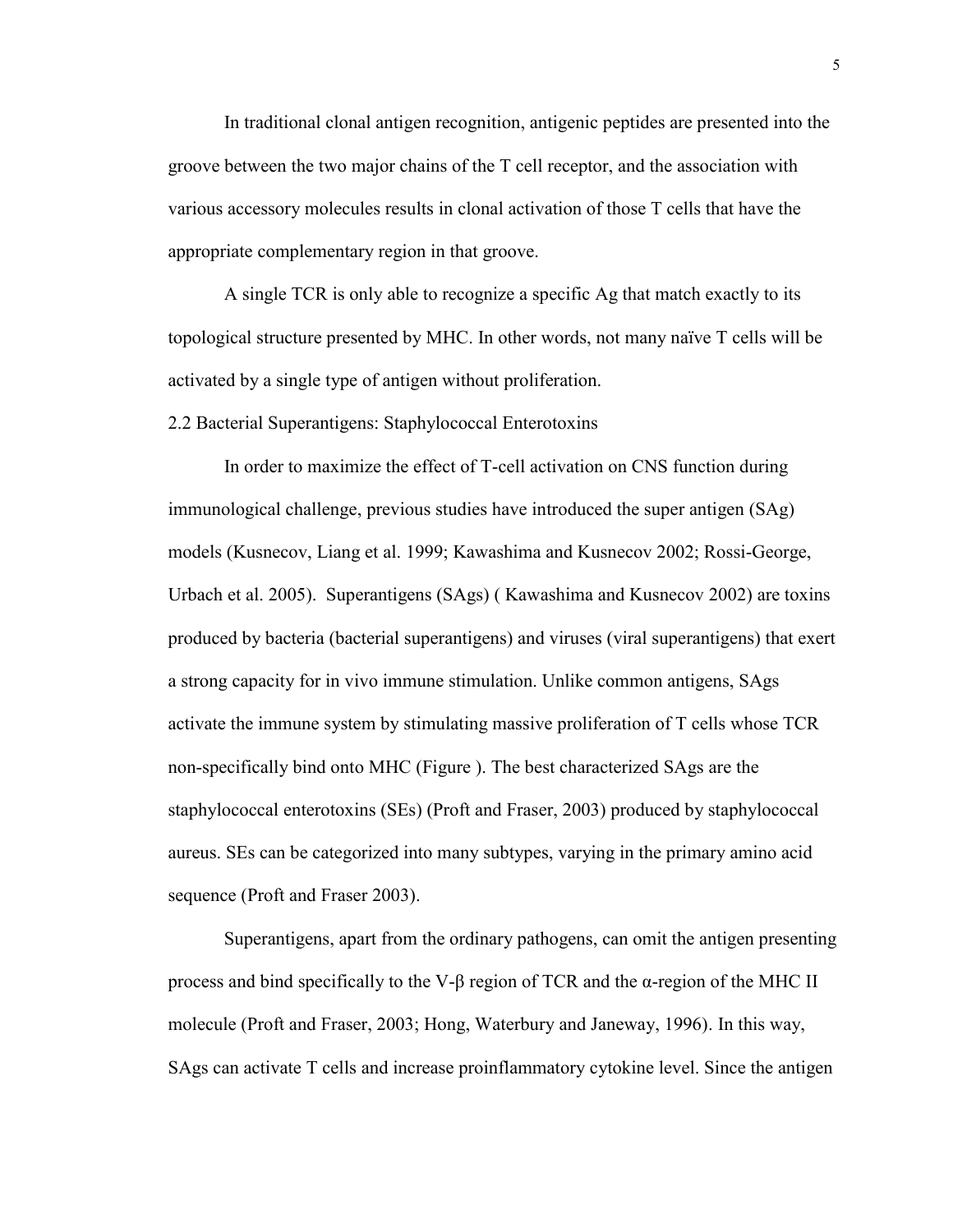In traditional clonal antigen recognition, antigenic peptides are presented into the groove between the two major chains of the T cell receptor, and the association with various accessory molecules results in clonal activation of those T cells that have the appropriate complementary region in that groove.

A single TCR is only able to recognize a specific Ag that match exactly to its topological structure presented by MHC. In other words, not many naïve T cells will be activated by a single type of antigen without proliferation.

2.2 Bacterial Superantigens: Staphylococcal Enterotoxins

In order to maximize the effect of T-cell activation on CNS function during immunological challenge, previous studies have introduced the super antigen (SAg) models (Kusnecov, Liang et al. 1999; Kawashima and Kusnecov 2002; Rossi-George, Urbach et al. 2005). Superantigens (SAgs) ( Kawashima and Kusnecov 2002) are toxins produced by bacteria (bacterial superantigens) and viruses (viral superantigens) that exert a strong capacity for in vivo immune stimulation. Unlike common antigens, SAgs activate the immune system by stimulating massive proliferation of T cells whose TCR non-specifically bind onto MHC (Figure ). The best characterized SAgs are the staphylococcal enterotoxins (SEs) (Proft and Fraser, 2003) produced by staphylococcal aureus. SEs can be categorized into many subtypes, varying in the primary amino acid sequence (Proft and Fraser 2003).

Superantigens, apart from the ordinary pathogens, can omit the antigen presenting process and bind specifically to the V-β region of TCR and the α-region of the MHC II molecule (Proft and Fraser, 2003; Hong, Waterbury and Janeway, 1996). In this way, SAgs can activate T cells and increase proinflammatory cytokine level. Since the antigen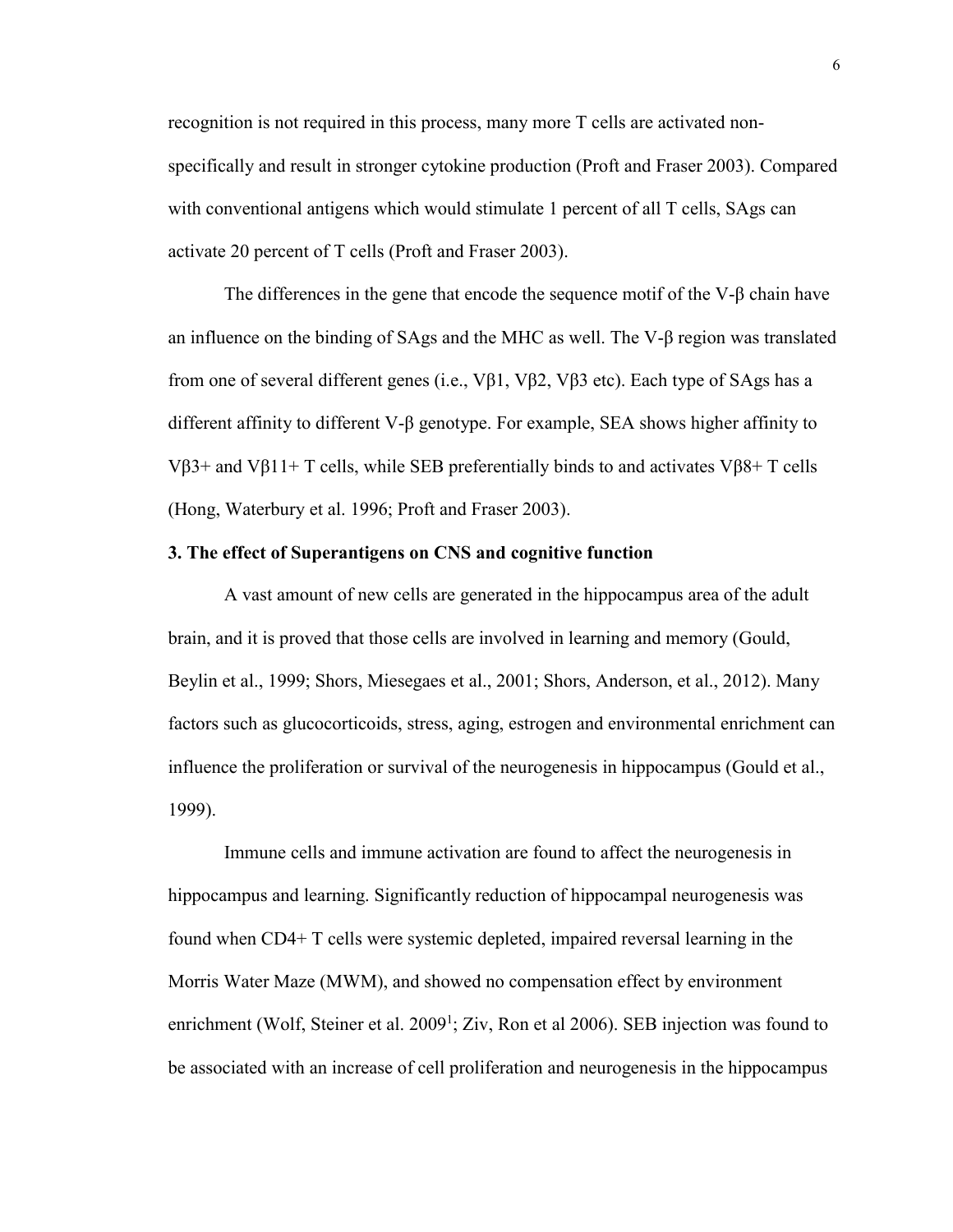recognition is not required in this process, many more T cells are activated nonspecifically and result in stronger cytokine production (Proft and Fraser 2003). Compared with conventional antigens which would stimulate 1 percent of all T cells, SAgs can activate 20 percent of T cells (Proft and Fraser 2003).

The differences in the gene that encode the sequence motif of the V-β chain have an influence on the binding of SAgs and the MHC as well. The V-β region was translated from one of several different genes (i.e., Vβ1, Vβ2, Vβ3 etc). Each type of SAgs has a different affinity to different V-β genotype. For example, SEA shows higher affinity to Vβ3+ and Vβ11+ T cells, while SEB preferentially binds to and activates Vβ8+ T cells (Hong, Waterbury et al. 1996; Proft and Fraser 2003).

# **3. The effect of Superantigens on CNS and cognitive function**

A vast amount of new cells are generated in the hippocampus area of the adult brain, and it is proved that those cells are involved in learning and memory (Gould, Beylin et al., 1999; Shors, Miesegaes et al., 2001; Shors, Anderson, et al., 2012). Many factors such as glucocorticoids, stress, aging, estrogen and environmental enrichment can influence the proliferation or survival of the neurogenesis in hippocampus (Gould et al., 1999).

Immune cells and immune activation are found to affect the neurogenesis in hippocampus and learning. Significantly reduction of hippocampal neurogenesis was found when CD4+ T cells were systemic depleted, impaired reversal learning in the Morris Water Maze (MWM), and showed no compensation effect by environment enrichment (Wolf, Steiner et al.  $2009<sup>1</sup>$ ; Ziv, Ron et al 2006). SEB injection was found to be associated with an increase of cell proliferation and neurogenesis in the hippocampus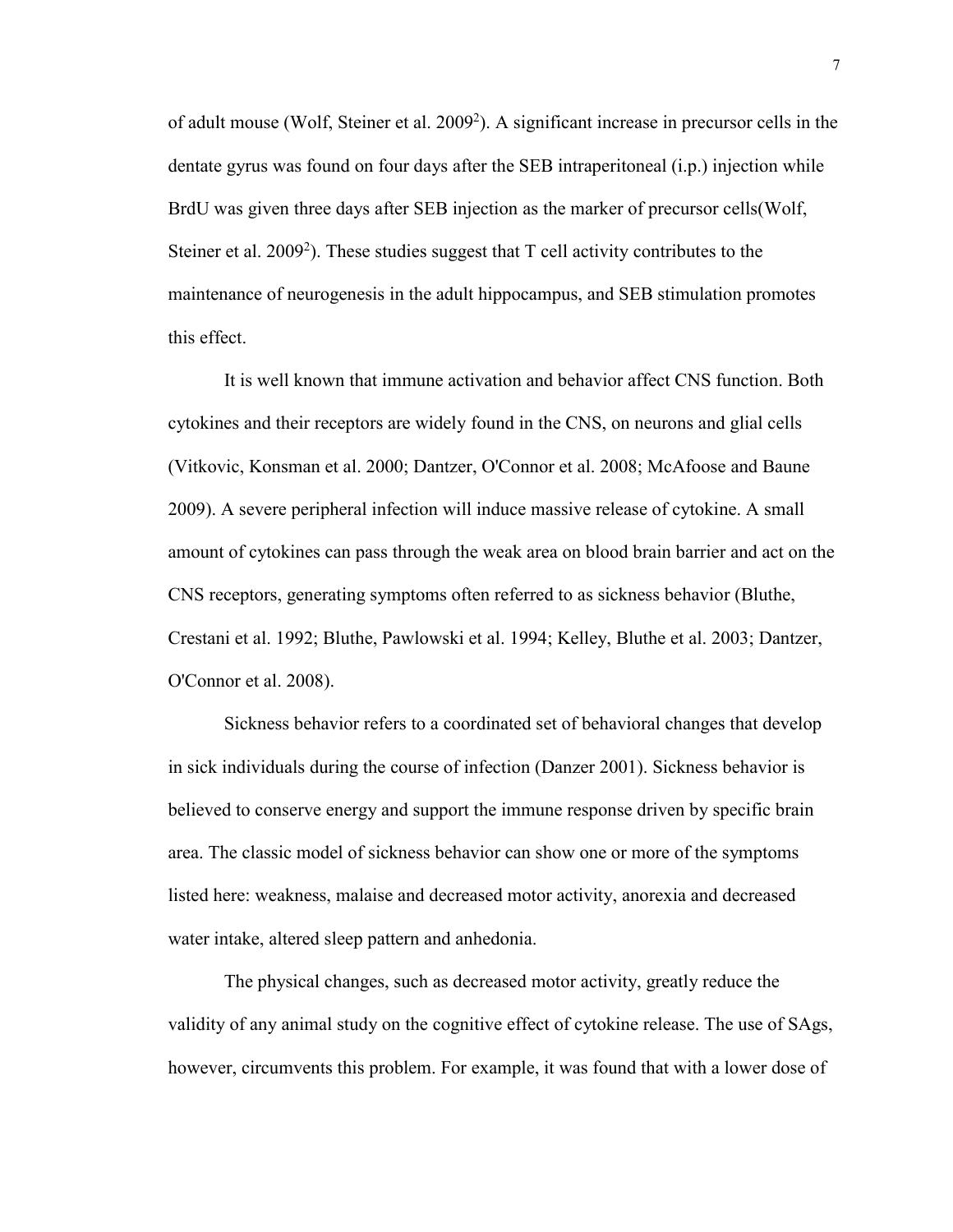of adult mouse (Wolf, Steiner et al. 2009<sup>2</sup>). A significant increase in precursor cells in the dentate gyrus was found on four days after the SEB intraperitoneal (i.p.) injection while BrdU was given three days after SEB injection as the marker of precursor cells(Wolf, Steiner et al.  $2009^2$ ). These studies suggest that T cell activity contributes to the maintenance of neurogenesis in the adult hippocampus, and SEB stimulation promotes this effect.

It is well known that immune activation and behavior affect CNS function. Both cytokines and their receptors are widely found in the CNS, on neurons and glial cells (Vitkovic, Konsman et al. 2000; Dantzer, O'Connor et al. 2008; McAfoose and Baune 2009). A severe peripheral infection will induce massive release of cytokine. A small amount of cytokines can pass through the weak area on blood brain barrier and act on the CNS receptors, generating symptoms often referred to as sickness behavior (Bluthe, Crestani et al. 1992; Bluthe, Pawlowski et al. 1994; Kelley, Bluthe et al. 2003; Dantzer, O'Connor et al. 2008).

Sickness behavior refers to a coordinated set of behavioral changes that develop in sick individuals during the course of infection (Danzer 2001). Sickness behavior is believed to conserve energy and support the immune response driven by specific brain area. The classic model of sickness behavior can show one or more of the symptoms listed here: weakness, malaise and decreased motor activity, anorexia and decreased water intake, altered sleep pattern and anhedonia.

The physical changes, such as decreased motor activity, greatly reduce the validity of any animal study on the cognitive effect of cytokine release. The use of SAgs, however, circumvents this problem. For example, it was found that with a lower dose of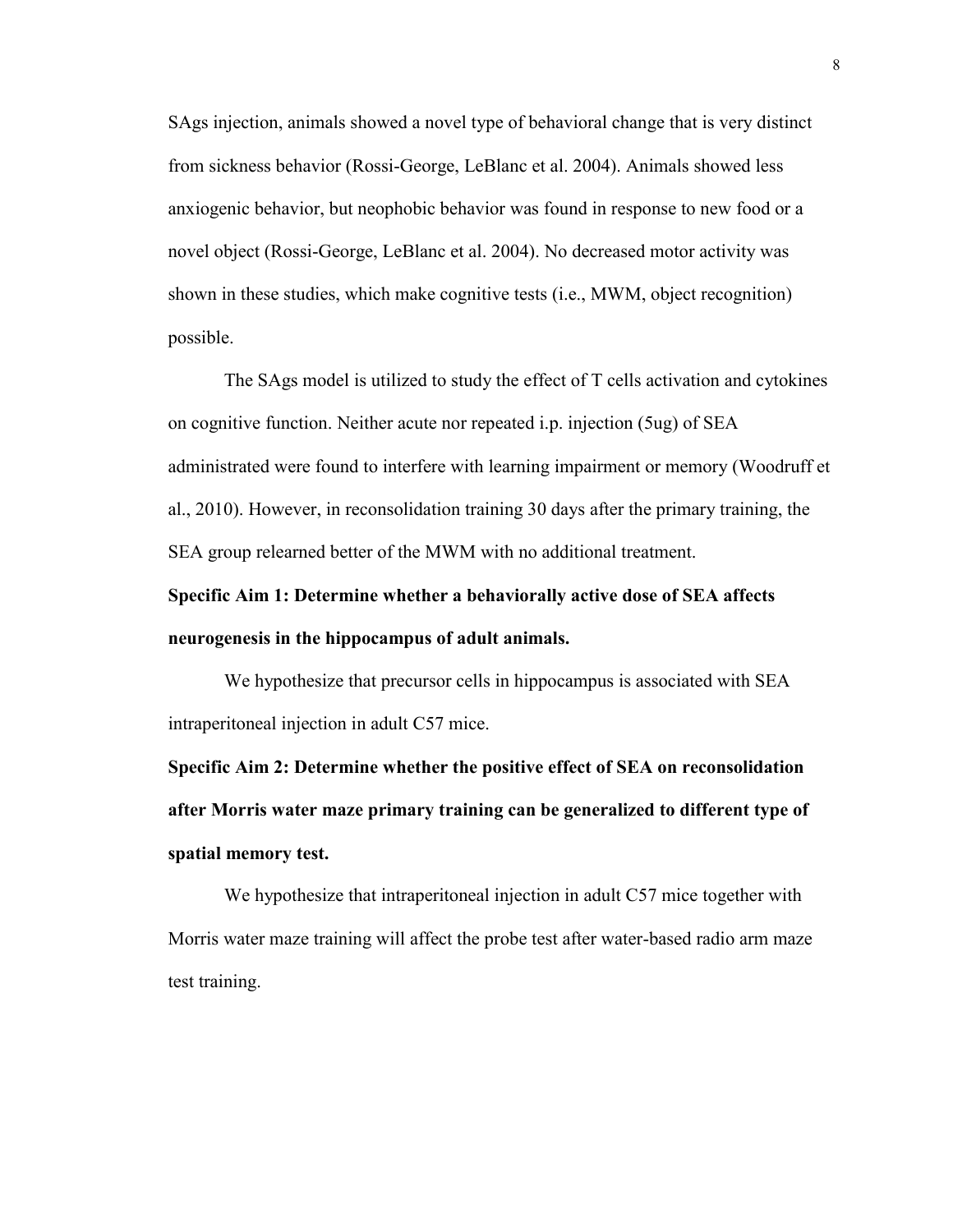SAgs injection, animals showed a novel type of behavioral change that is very distinct from sickness behavior (Rossi-George, LeBlanc et al. 2004). Animals showed less anxiogenic behavior, but neophobic behavior was found in response to new food or a novel object (Rossi-George, LeBlanc et al. 2004). No decreased motor activity was shown in these studies, which make cognitive tests (i.e., MWM, object recognition) possible.

The SAgs model is utilized to study the effect of T cells activation and cytokines on cognitive function. Neither acute nor repeated i.p. injection (5ug) of SEA administrated were found to interfere with learning impairment or memory (Woodruff et al., 2010). However, in reconsolidation training 30 days after the primary training, the SEA group relearned better of the MWM with no additional treatment.

# **Specific Aim 1: Determine whether a behaviorally active dose of SEA affects neurogenesis in the hippocampus of adult animals.**

We hypothesize that precursor cells in hippocampus is associated with SEA intraperitoneal injection in adult C57 mice.

**Specific Aim 2: Determine whether the positive effect of SEA on reconsolidation after Morris water maze primary training can be generalized to different type of spatial memory test.**

We hypothesize that intraperitoneal injection in adult C57 mice together with Morris water maze training will affect the probe test after water-based radio arm maze test training.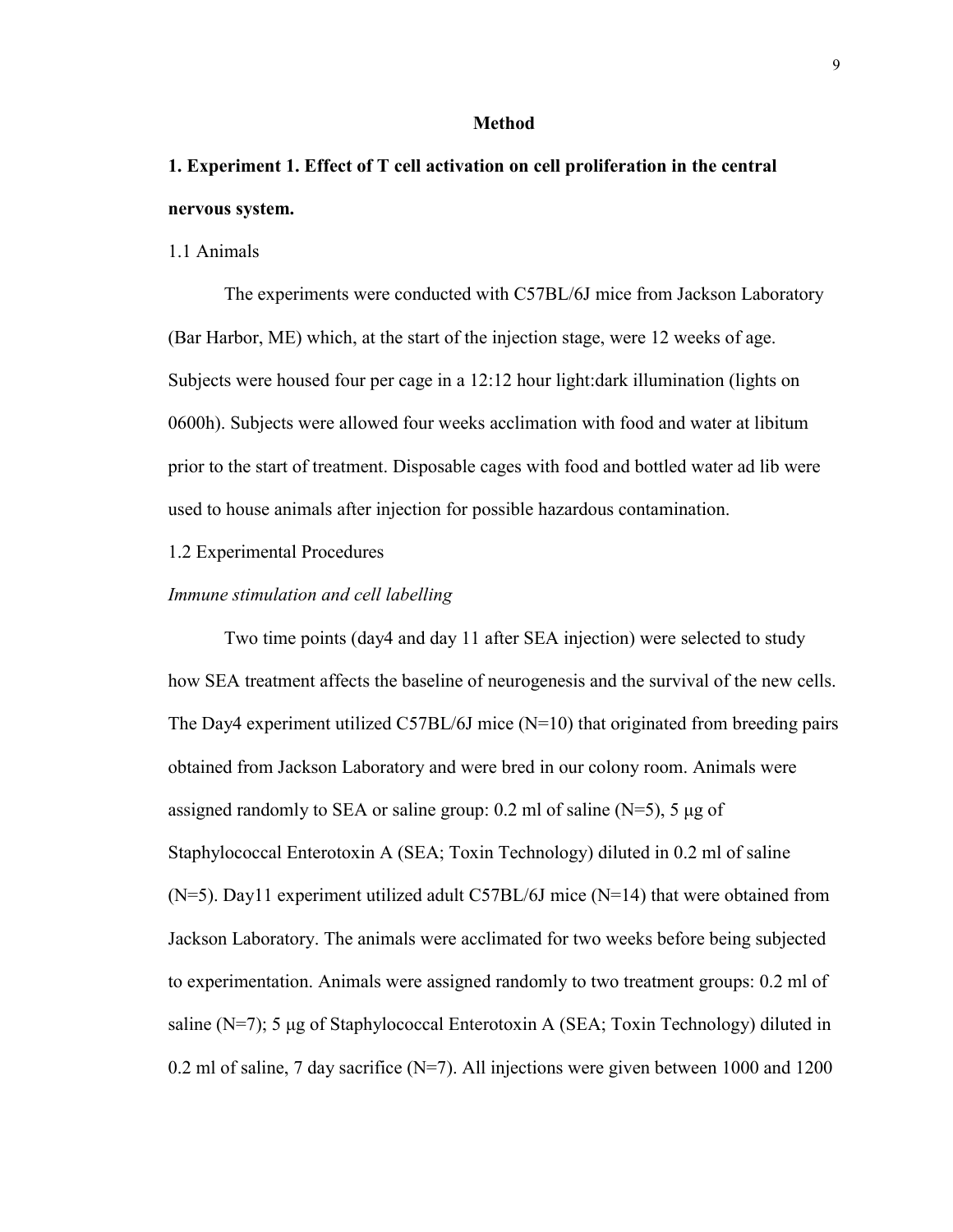#### **Method**

# **1. Experiment 1. Effect of T cell activation on cell proliferation in the central nervous system.**

### 1.1 Animals

The experiments were conducted with C57BL/6J mice from Jackson Laboratory (Bar Harbor, ME) which, at the start of the injection stage, were 12 weeks of age. Subjects were housed four per cage in a 12:12 hour light:dark illumination (lights on 0600h). Subjects were allowed four weeks acclimation with food and water at libitum prior to the start of treatment. Disposable cages with food and bottled water ad lib were used to house animals after injection for possible hazardous contamination.

## 1.2 Experimental Procedures

### *Immune stimulation and cell labelling*

Two time points (day4 and day 11 after SEA injection) were selected to study how SEA treatment affects the baseline of neurogenesis and the survival of the new cells. The Day4 experiment utilized C57BL/6J mice  $(N=10)$  that originated from breeding pairs obtained from Jackson Laboratory and were bred in our colony room. Animals were assigned randomly to SEA or saline group: 0.2 ml of saline  $(N=5)$ , 5 μg of Staphylococcal Enterotoxin A (SEA; Toxin Technology) diluted in 0.2 ml of saline (N=5). Day11 experiment utilized adult C57BL/6J mice (N=14) that were obtained from Jackson Laboratory. The animals were acclimated for two weeks before being subjected to experimentation. Animals were assigned randomly to two treatment groups: 0.2 ml of saline (N=7); 5 μg of Staphylococcal Enterotoxin A (SEA; Toxin Technology) diluted in 0.2 ml of saline, 7 day sacrifice (N=7). All injections were given between 1000 and 1200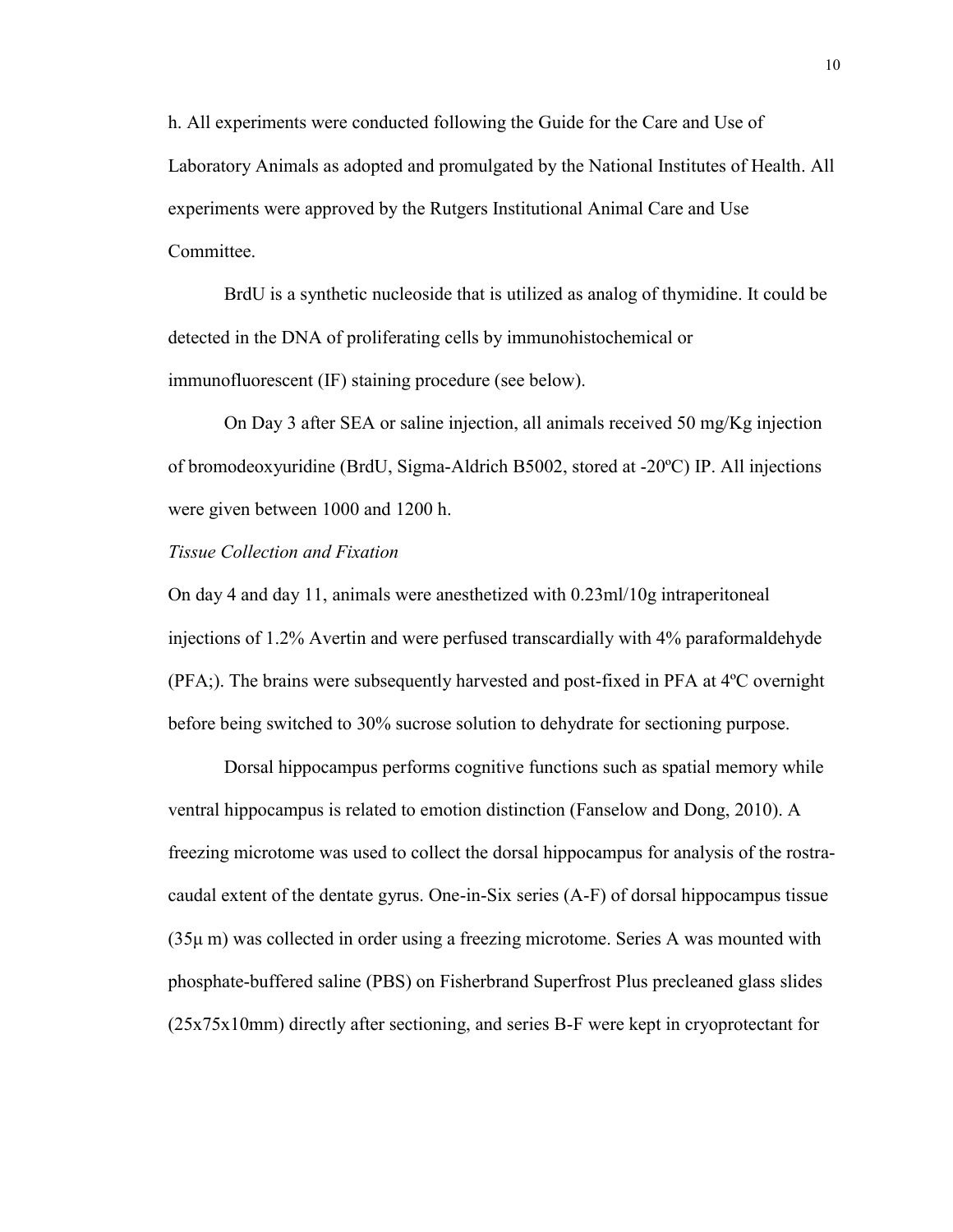h. All experiments were conducted following the Guide for the Care and Use of Laboratory Animals as adopted and promulgated by the National Institutes of Health. All experiments were approved by the Rutgers Institutional Animal Care and Use Committee.

BrdU is a synthetic nucleoside that is utilized as analog of thymidine. It could be detected in the DNA of proliferating cells by immunohistochemical or immunofluorescent (IF) staining procedure (see below).

On Day 3 after SEA or saline injection, all animals received 50 mg/Kg injection of bromodeoxyuridine (BrdU, Sigma-Aldrich B5002, stored at -20ºC) IP. All injections were given between 1000 and 1200 h.

# *Tissue Collection and Fixation*

On day 4 and day 11, animals were anesthetized with 0.23ml/10g intraperitoneal injections of 1.2% Avertin and were perfused transcardially with 4% paraformaldehyde (PFA;). The brains were subsequently harvested and post-fixed in PFA at 4ºC overnight before being switched to 30% sucrose solution to dehydrate for sectioning purpose.

Dorsal hippocampus performs cognitive functions such as spatial memory while ventral hippocampus is related to emotion distinction (Fanselow and Dong, 2010). A freezing microtome was used to collect the dorsal hippocampus for analysis of the rostracaudal extent of the dentate gyrus. One-in-Six series (A-F) of dorsal hippocampus tissue (35μ m) was collected in order using a freezing microtome. Series A was mounted with phosphate-buffered saline (PBS) on Fisherbrand Superfrost Plus precleaned glass slides (25x75x10mm) directly after sectioning, and series B-F were kept in cryoprotectant for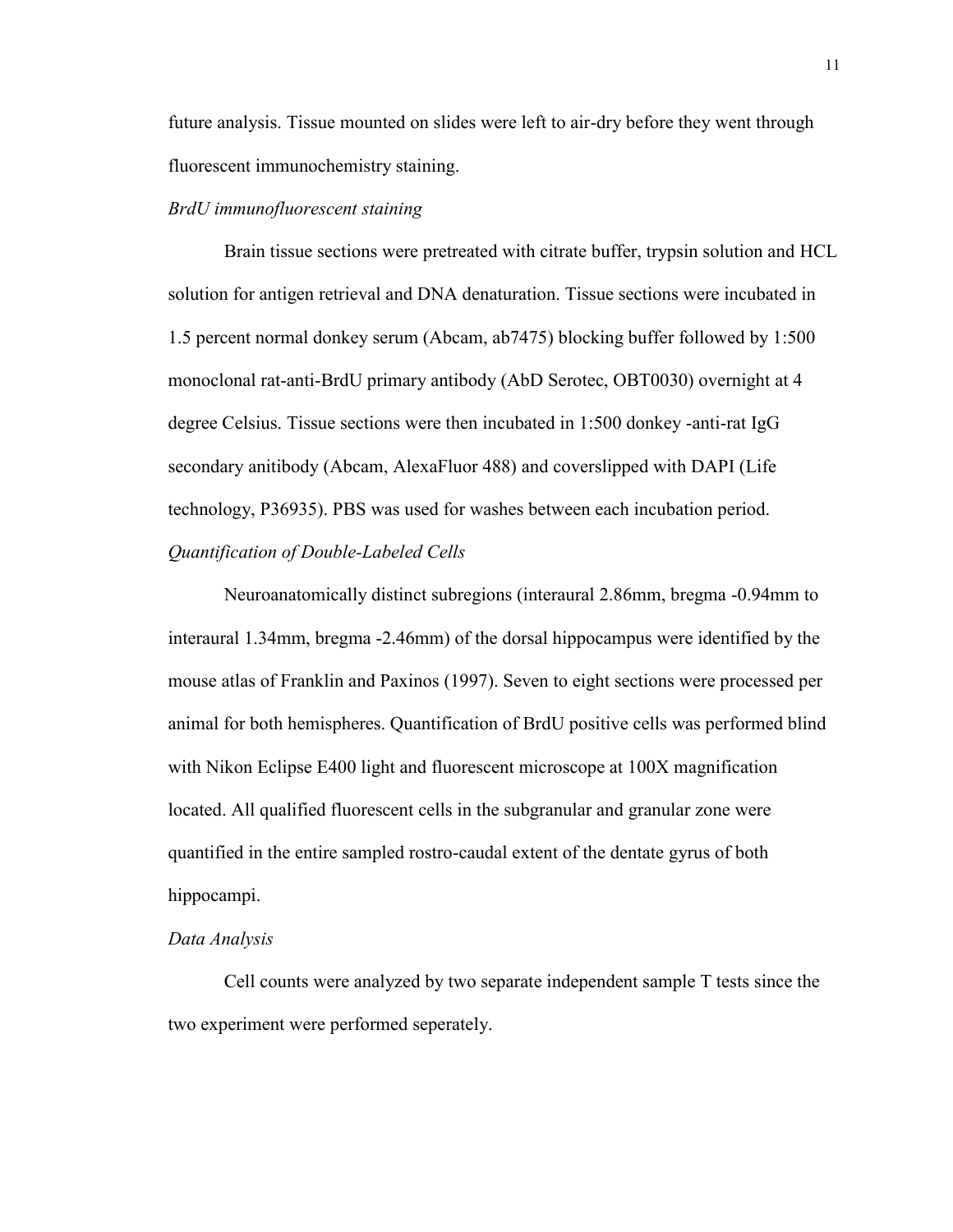future analysis. Tissue mounted on slides were left to air-dry before they went through fluorescent immunochemistry staining.

# *BrdU immunofluorescent staining*

Brain tissue sections were pretreated with citrate buffer, trypsin solution and HCL solution for antigen retrieval and DNA denaturation. Tissue sections were incubated in 1.5 percent normal donkey serum (Abcam, ab7475) blocking buffer followed by 1:500 monoclonal rat-anti-BrdU primary antibody (AbD Serotec, OBT0030) overnight at 4 degree Celsius. Tissue sections were then incubated in 1:500 donkey -anti-rat IgG secondary anitibody (Abcam, AlexaFluor 488) and coverslipped with DAPI (Life technology, P36935). PBS was used for washes between each incubation period. *Quantification of Double-Labeled Cells*

Neuroanatomically distinct subregions (interaural 2.86mm, bregma -0.94mm to interaural 1.34mm, bregma -2.46mm) of the dorsal hippocampus were identified by the mouse atlas of Franklin and Paxinos (1997). Seven to eight sections were processed per animal for both hemispheres. Quantification of BrdU positive cells was performed blind with Nikon Eclipse E400 light and fluorescent microscope at 100X magnification located. All qualified fluorescent cells in the subgranular and granular zone were quantified in the entire sampled rostro-caudal extent of the dentate gyrus of both hippocampi.

# *Data Analysis*

Cell counts were analyzed by two separate independent sample T tests since the two experiment were performed seperately.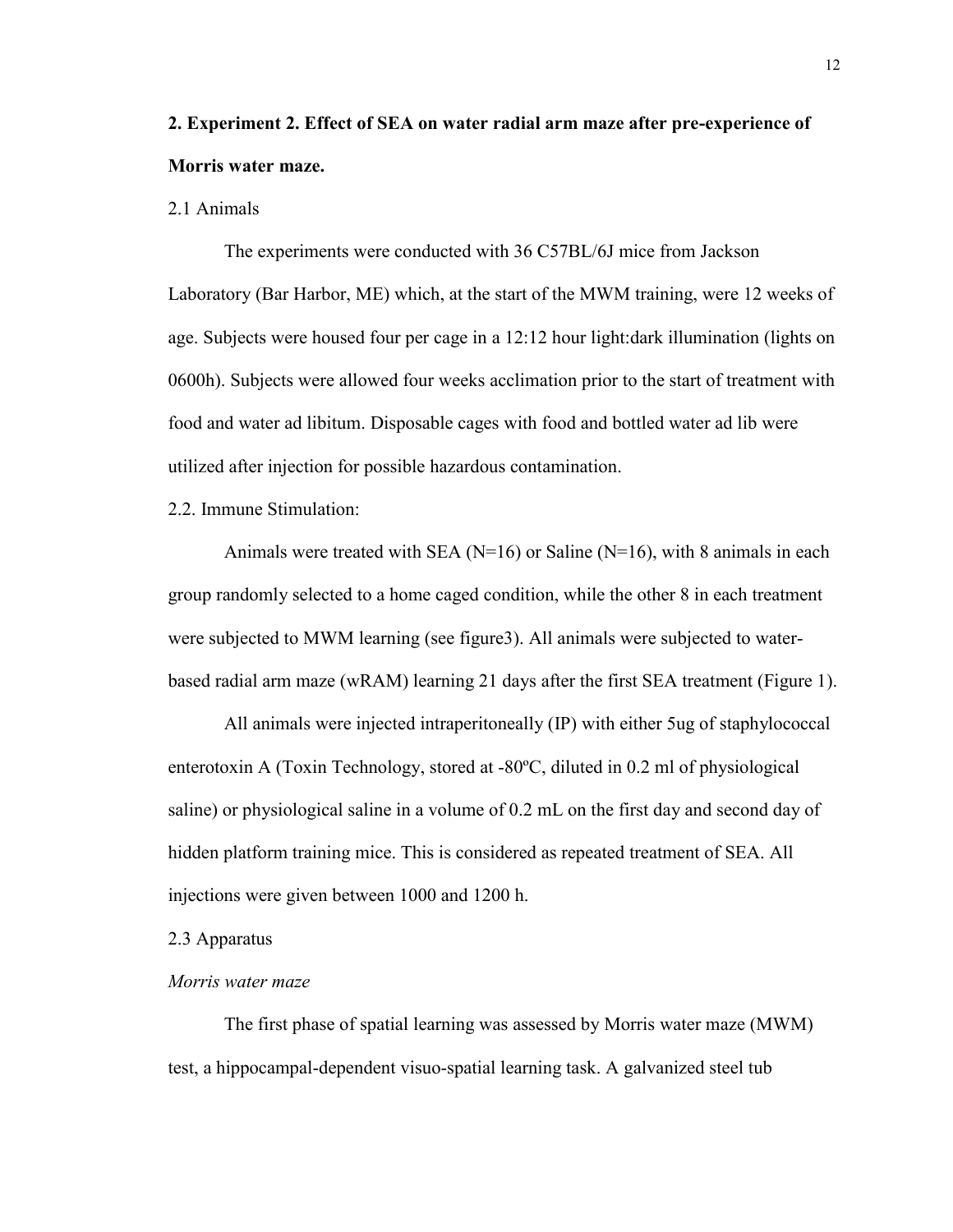# **2. Experiment 2. Effect of SEA on water radial arm maze after pre-experience of Morris water maze.**

# 2.1 Animals

The experiments were conducted with 36 C57BL/6J mice from Jackson Laboratory (Bar Harbor, ME) which, at the start of the MWM training, were 12 weeks of age. Subjects were housed four per cage in a 12:12 hour light:dark illumination (lights on 0600h). Subjects were allowed four weeks acclimation prior to the start of treatment with food and water ad libitum. Disposable cages with food and bottled water ad lib were utilized after injection for possible hazardous contamination.

2.2. Immune Stimulation:

Animals were treated with SEA ( $N=16$ ) or Saline ( $N=16$ ), with 8 animals in each group randomly selected to a home caged condition, while the other 8 in each treatment were subjected to MWM learning (see figure3). All animals were subjected to waterbased radial arm maze (wRAM) learning 21 days after the first SEA treatment (Figure 1).

All animals were injected intraperitoneally (IP) with either 5ug of staphylococcal enterotoxin A (Toxin Technology, stored at -80ºC, diluted in 0.2 ml of physiological saline) or physiological saline in a volume of 0.2 mL on the first day and second day of hidden platform training mice. This is considered as repeated treatment of SEA. All injections were given between 1000 and 1200 h.

2.3 Apparatus

# *Morris water maze*

The first phase of spatial learning was assessed by Morris water maze (MWM) test, a hippocampal-dependent visuo-spatial learning task. A galvanized steel tub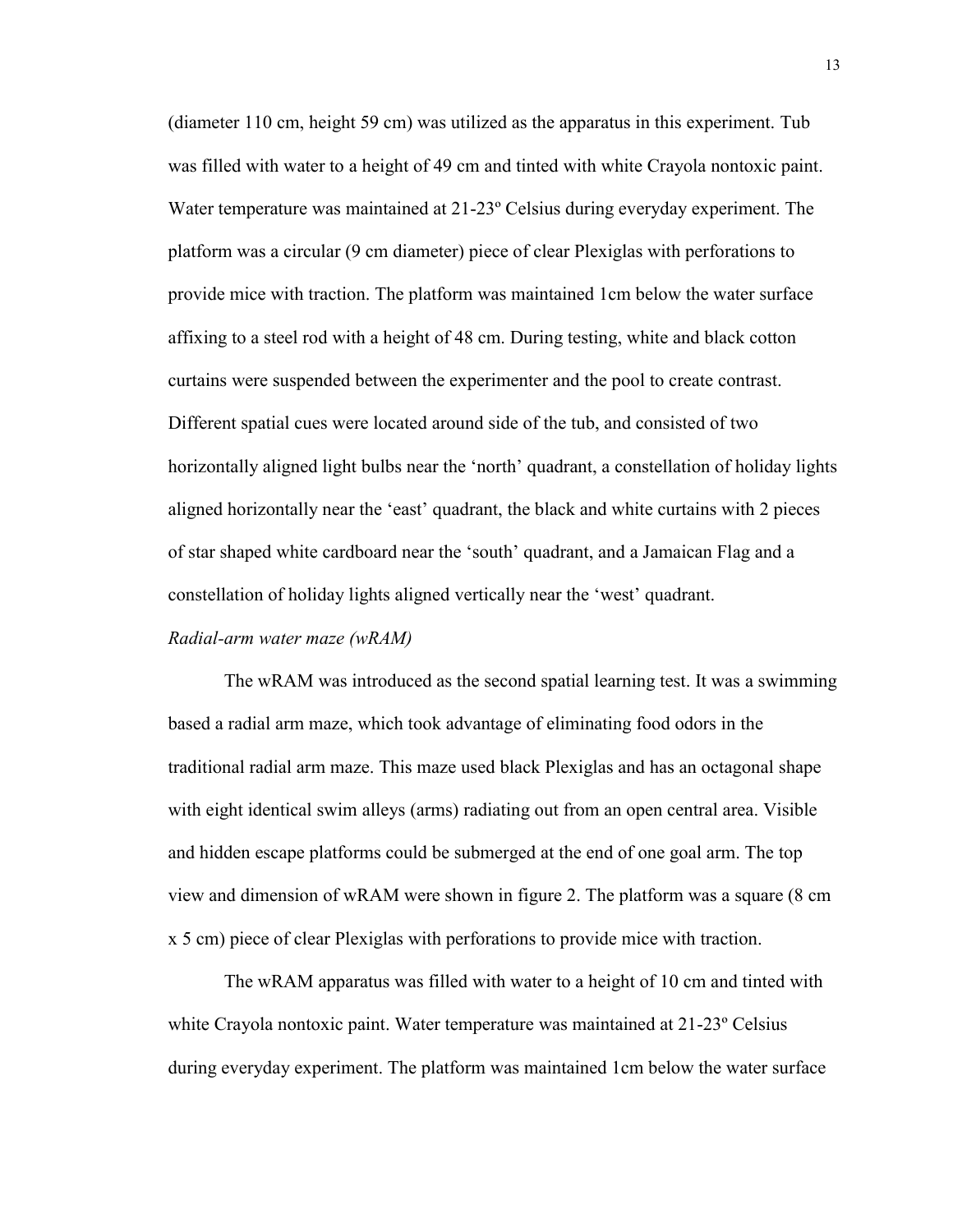(diameter 110 cm, height 59 cm) was utilized as the apparatus in this experiment. Tub was filled with water to a height of 49 cm and tinted with white Crayola nontoxic paint. Water temperature was maintained at 21-23º Celsius during everyday experiment. The platform was a circular (9 cm diameter) piece of clear Plexiglas with perforations to provide mice with traction. The platform was maintained 1cm below the water surface affixing to a steel rod with a height of 48 cm. During testing, white and black cotton curtains were suspended between the experimenter and the pool to create contrast. Different spatial cues were located around side of the tub, and consisted of two horizontally aligned light bulbs near the 'north' quadrant, a constellation of holiday lights aligned horizontally near the 'east' quadrant, the black and white curtains with 2 pieces of star shaped white cardboard near the 'south' quadrant, and a Jamaican Flag and a constellation of holiday lights aligned vertically near the 'west' quadrant.

# *Radial-arm water maze (wRAM)*

The wRAM was introduced as the second spatial learning test. It was a swimming based a radial arm maze, which took advantage of eliminating food odors in the traditional radial arm maze. This maze used black Plexiglas and has an octagonal shape with eight identical swim alleys (arms) radiating out from an open central area. Visible and hidden escape platforms could be submerged at the end of one goal arm. The top view and dimension of wRAM were shown in figure 2. The platform was a square (8 cm x 5 cm) piece of clear Plexiglas with perforations to provide mice with traction.

The wRAM apparatus was filled with water to a height of 10 cm and tinted with white Crayola nontoxic paint. Water temperature was maintained at 21-23° Celsius during everyday experiment. The platform was maintained 1cm below the water surface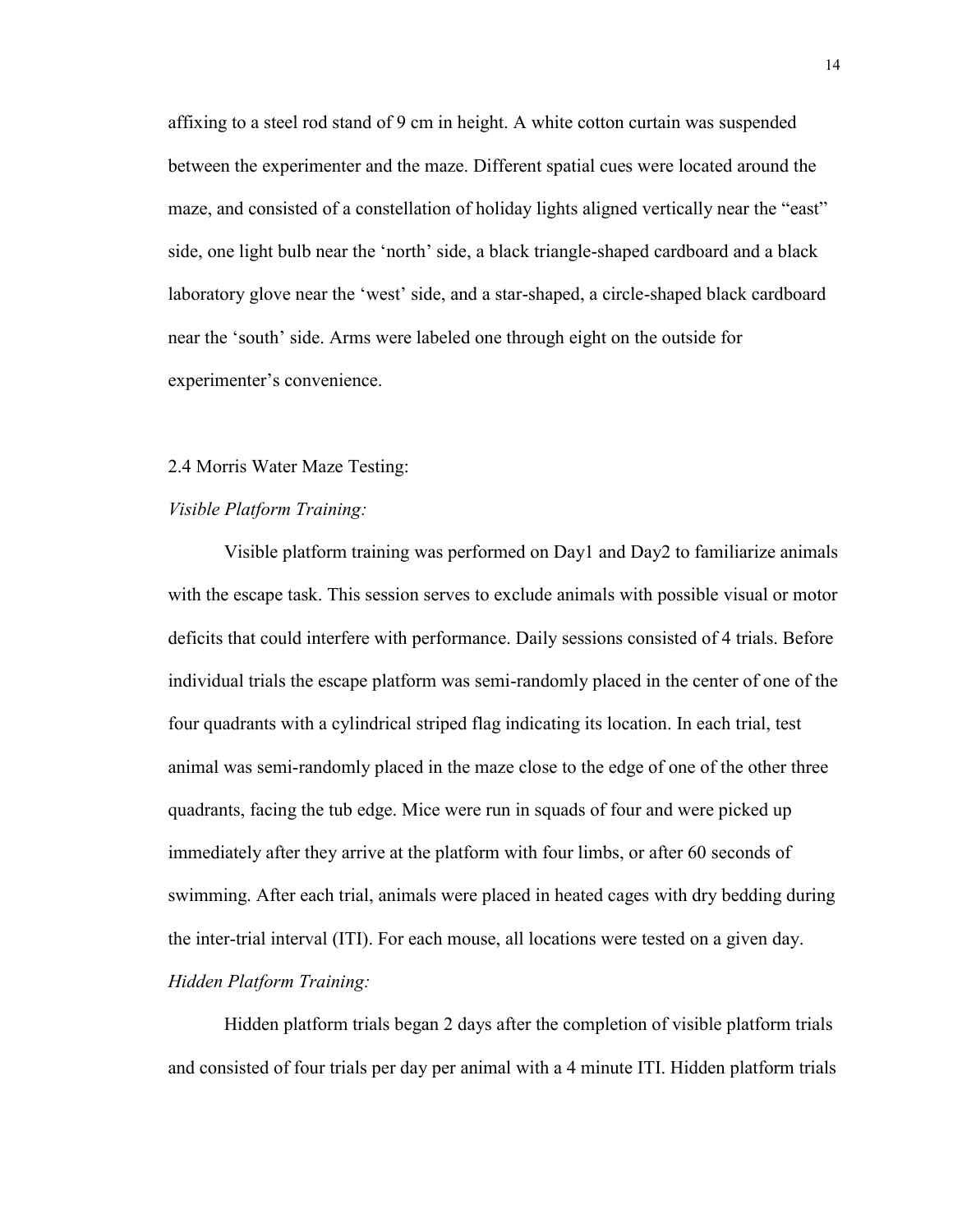affixing to a steel rod stand of 9 cm in height. A white cotton curtain was suspended between the experimenter and the maze. Different spatial cues were located around the maze, and consisted of a constellation of holiday lights aligned vertically near the "east" side, one light bulb near the 'north' side, a black triangle-shaped cardboard and a black laboratory glove near the 'west' side, and a star-shaped, a circle-shaped black cardboard near the 'south' side. Arms were labeled one through eight on the outside for experimenter's convenience.

# 2.4 Morris Water Maze Testing:

# *Visible Platform Training:*

Visible platform training was performed on Day1 and Day2 to familiarize animals with the escape task. This session serves to exclude animals with possible visual or motor deficits that could interfere with performance. Daily sessions consisted of 4 trials. Before individual trials the escape platform was semi-randomly placed in the center of one of the four quadrants with a cylindrical striped flag indicating its location. In each trial, test animal was semi-randomly placed in the maze close to the edge of one of the other three quadrants, facing the tub edge. Mice were run in squads of four and were picked up immediately after they arrive at the platform with four limbs, or after 60 seconds of swimming. After each trial, animals were placed in heated cages with dry bedding during the inter-trial interval (ITI). For each mouse, all locations were tested on a given day. *Hidden Platform Training:* 

Hidden platform trials began 2 days after the completion of visible platform trials and consisted of four trials per day per animal with a 4 minute ITI. Hidden platform trials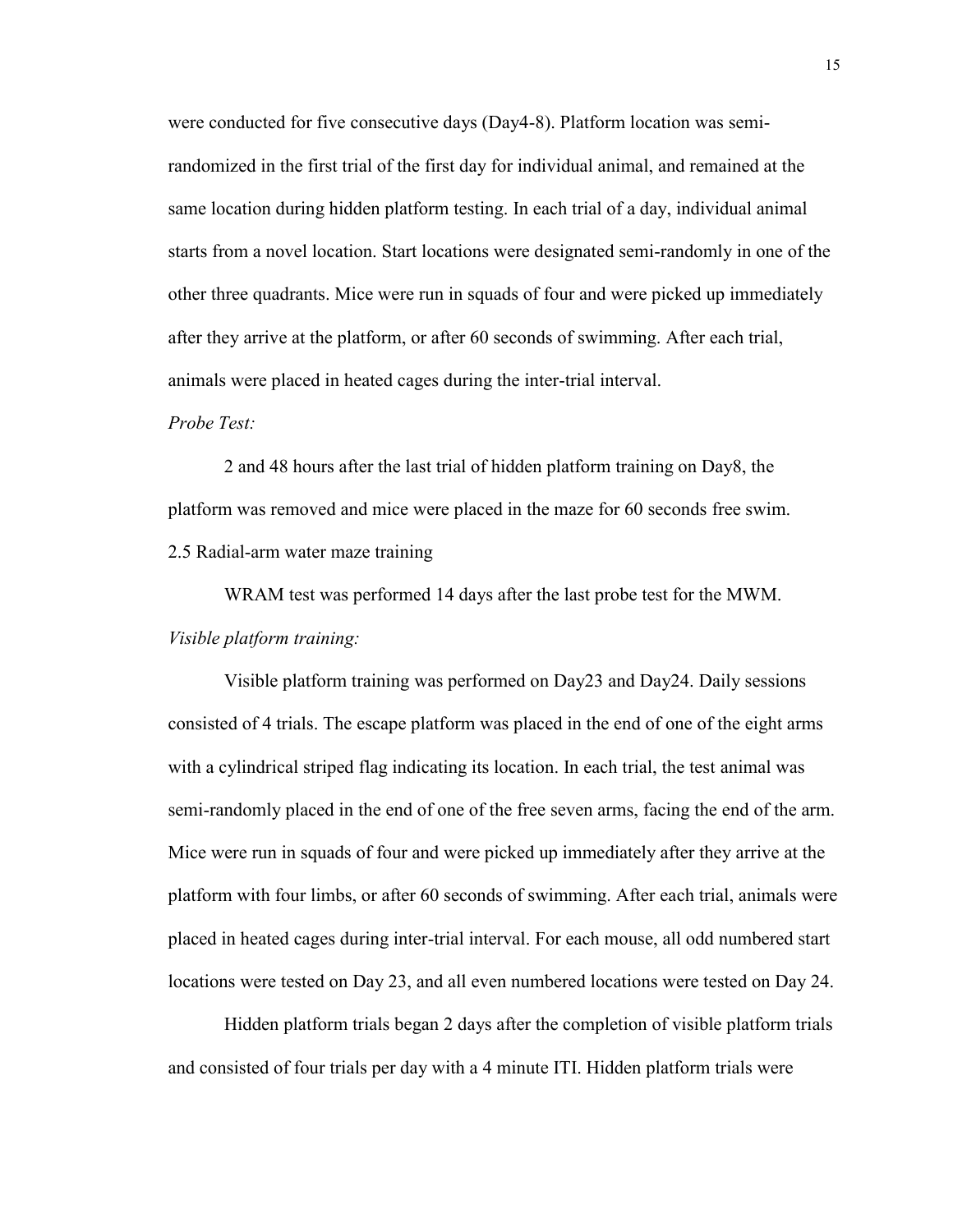were conducted for five consecutive days (Day4-8). Platform location was semirandomized in the first trial of the first day for individual animal, and remained at the same location during hidden platform testing. In each trial of a day, individual animal starts from a novel location. Start locations were designated semi-randomly in one of the other three quadrants. Mice were run in squads of four and were picked up immediately after they arrive at the platform, or after 60 seconds of swimming. After each trial, animals were placed in heated cages during the inter-trial interval.

# *Probe Test:*

2 and 48 hours after the last trial of hidden platform training on Day8, the platform was removed and mice were placed in the maze for 60 seconds free swim. 2.5 Radial-arm water maze training

WRAM test was performed 14 days after the last probe test for the MWM. *Visible platform training:*

Visible platform training was performed on Day23 and Day24. Daily sessions consisted of 4 trials. The escape platform was placed in the end of one of the eight arms with a cylindrical striped flag indicating its location. In each trial, the test animal was semi-randomly placed in the end of one of the free seven arms, facing the end of the arm. Mice were run in squads of four and were picked up immediately after they arrive at the platform with four limbs, or after 60 seconds of swimming. After each trial, animals were placed in heated cages during inter-trial interval. For each mouse, all odd numbered start locations were tested on Day 23, and all even numbered locations were tested on Day 24.

Hidden platform trials began 2 days after the completion of visible platform trials and consisted of four trials per day with a 4 minute ITI. Hidden platform trials were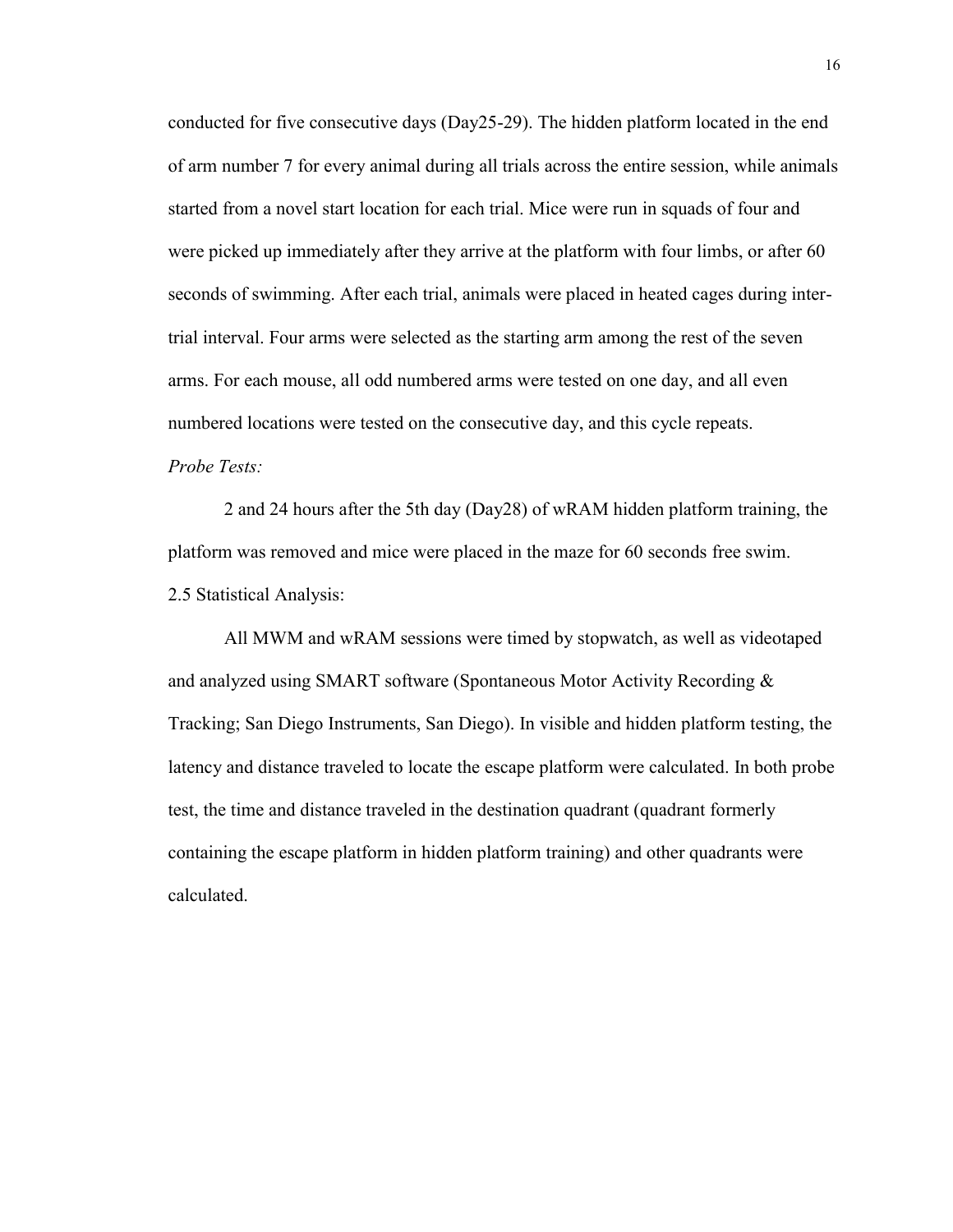conducted for five consecutive days (Day25-29). The hidden platform located in the end of arm number 7 for every animal during all trials across the entire session, while animals started from a novel start location for each trial. Mice were run in squads of four and were picked up immediately after they arrive at the platform with four limbs, or after 60 seconds of swimming. After each trial, animals were placed in heated cages during intertrial interval. Four arms were selected as the starting arm among the rest of the seven arms. For each mouse, all odd numbered arms were tested on one day, and all even numbered locations were tested on the consecutive day, and this cycle repeats. *Probe Tests:* 

2 and 24 hours after the 5th day (Day28) of wRAM hidden platform training, the platform was removed and mice were placed in the maze for 60 seconds free swim. 2.5 Statistical Analysis:

All MWM and wRAM sessions were timed by stopwatch, as well as videotaped and analyzed using SMART software (Spontaneous Motor Activity Recording & Tracking; San Diego Instruments, San Diego). In visible and hidden platform testing, the latency and distance traveled to locate the escape platform were calculated. In both probe test, the time and distance traveled in the destination quadrant (quadrant formerly containing the escape platform in hidden platform training) and other quadrants were calculated.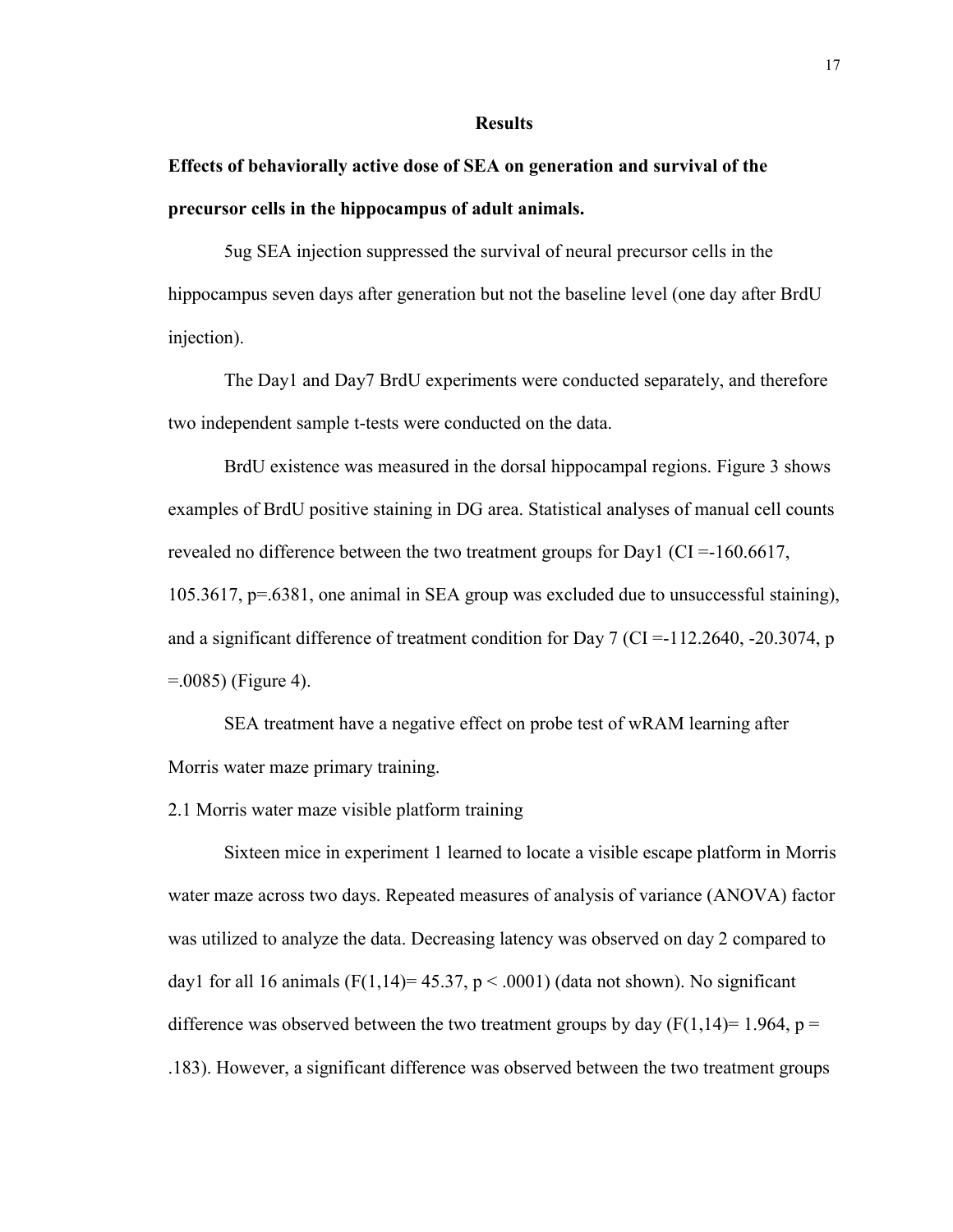#### **Results**

# **Effects of behaviorally active dose of SEA on generation and survival of the precursor cells in the hippocampus of adult animals.**

5ug SEA injection suppressed the survival of neural precursor cells in the hippocampus seven days after generation but not the baseline level (one day after BrdU injection).

The Day1 and Day7 BrdU experiments were conducted separately, and therefore two independent sample t-tests were conducted on the data.

BrdU existence was measured in the dorsal hippocampal regions. Figure 3 shows examples of BrdU positive staining in DG area. Statistical analyses of manual cell counts revealed no difference between the two treatment groups for Day1 (CI =-160.6617, 105.3617, p=.6381, one animal in SEA group was excluded due to unsuccessful staining), and a significant difference of treatment condition for Day 7 (CI =  $-112.2640$ ,  $-20.3074$ , p =.0085) (Figure 4).

SEA treatment have a negative effect on probe test of wRAM learning after Morris water maze primary training.

2.1 Morris water maze visible platform training

Sixteen mice in experiment 1 learned to locate a visible escape platform in Morris water maze across two days. Repeated measures of analysis of variance (ANOVA) factor was utilized to analyze the data. Decreasing latency was observed on day 2 compared to day1 for all 16 animals  $(F(1,14)=45.37, p < .0001)$  (data not shown). No significant difference was observed between the two treatment groups by day  $(F(1,14)=1.964, p =$ .183). However, a significant difference was observed between the two treatment groups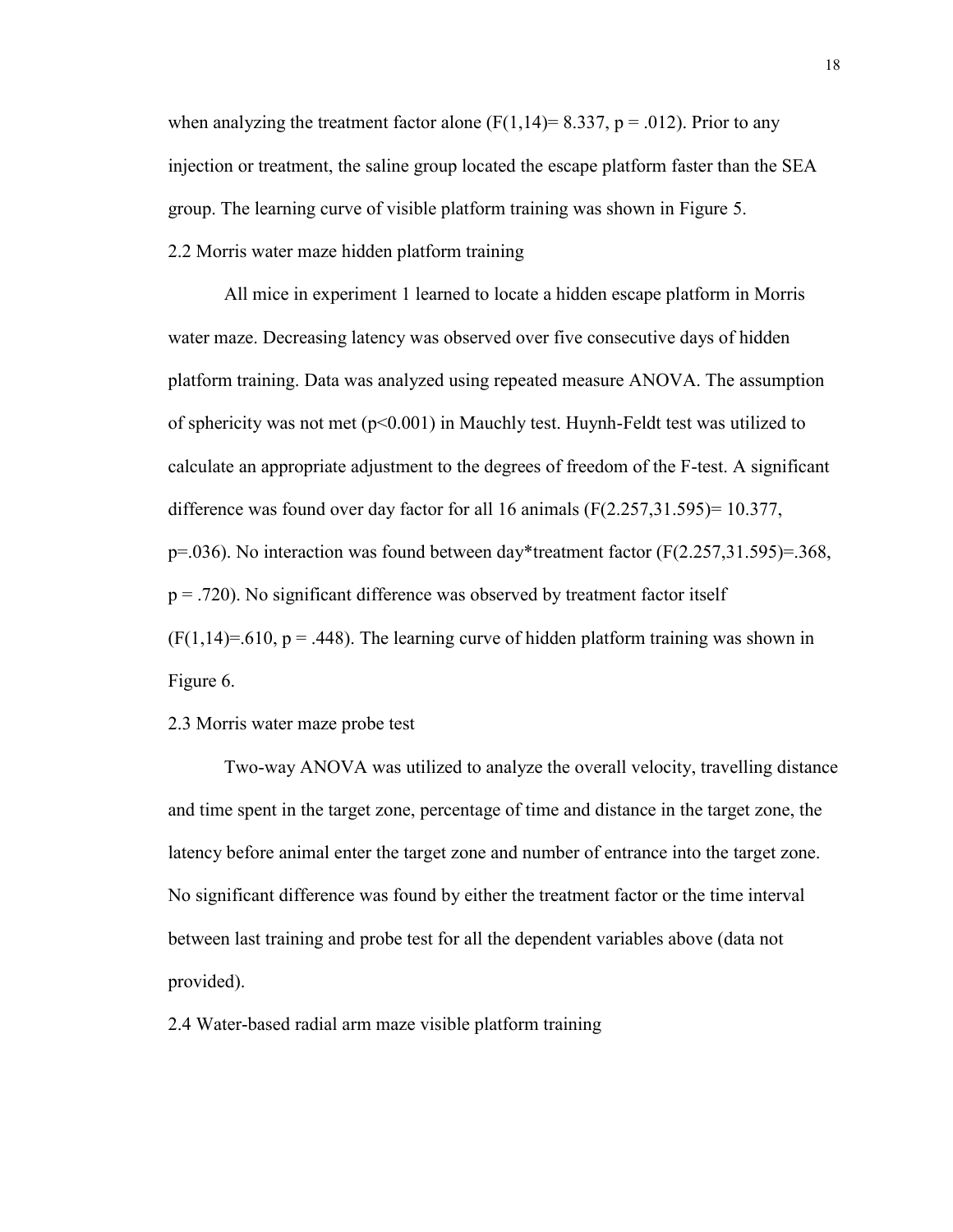when analyzing the treatment factor alone ( $F(1,14) = 8.337$ ,  $p = .012$ ). Prior to any injection or treatment, the saline group located the escape platform faster than the SEA group. The learning curve of visible platform training was shown in Figure 5. 2.2 Morris water maze hidden platform training

All mice in experiment 1 learned to locate a hidden escape platform in Morris water maze. Decreasing latency was observed over five consecutive days of hidden platform training. Data was analyzed using repeated measure ANOVA. The assumption of sphericity was not met  $(p<0.001)$  in Mauchly test. Huynh-Feldt test was utilized to calculate an appropriate adjustment to the degrees of freedom of the F-test. A significant difference was found over day factor for all 16 animals  $(F(2.257,31.595)=10.377)$ ,  $p=0.036$ ). No interaction was found between day\*treatment factor ( $F(2.257,31.595)=.368$ ,  $p = .720$ ). No significant difference was observed by treatment factor itself  $(F(1,14)=.610, p = .448)$ . The learning curve of hidden platform training was shown in Figure 6.

# 2.3 Morris water maze probe test

Two-way ANOVA was utilized to analyze the overall velocity, travelling distance and time spent in the target zone, percentage of time and distance in the target zone, the latency before animal enter the target zone and number of entrance into the target zone. No significant difference was found by either the treatment factor or the time interval between last training and probe test for all the dependent variables above (data not provided).

2.4 Water-based radial arm maze visible platform training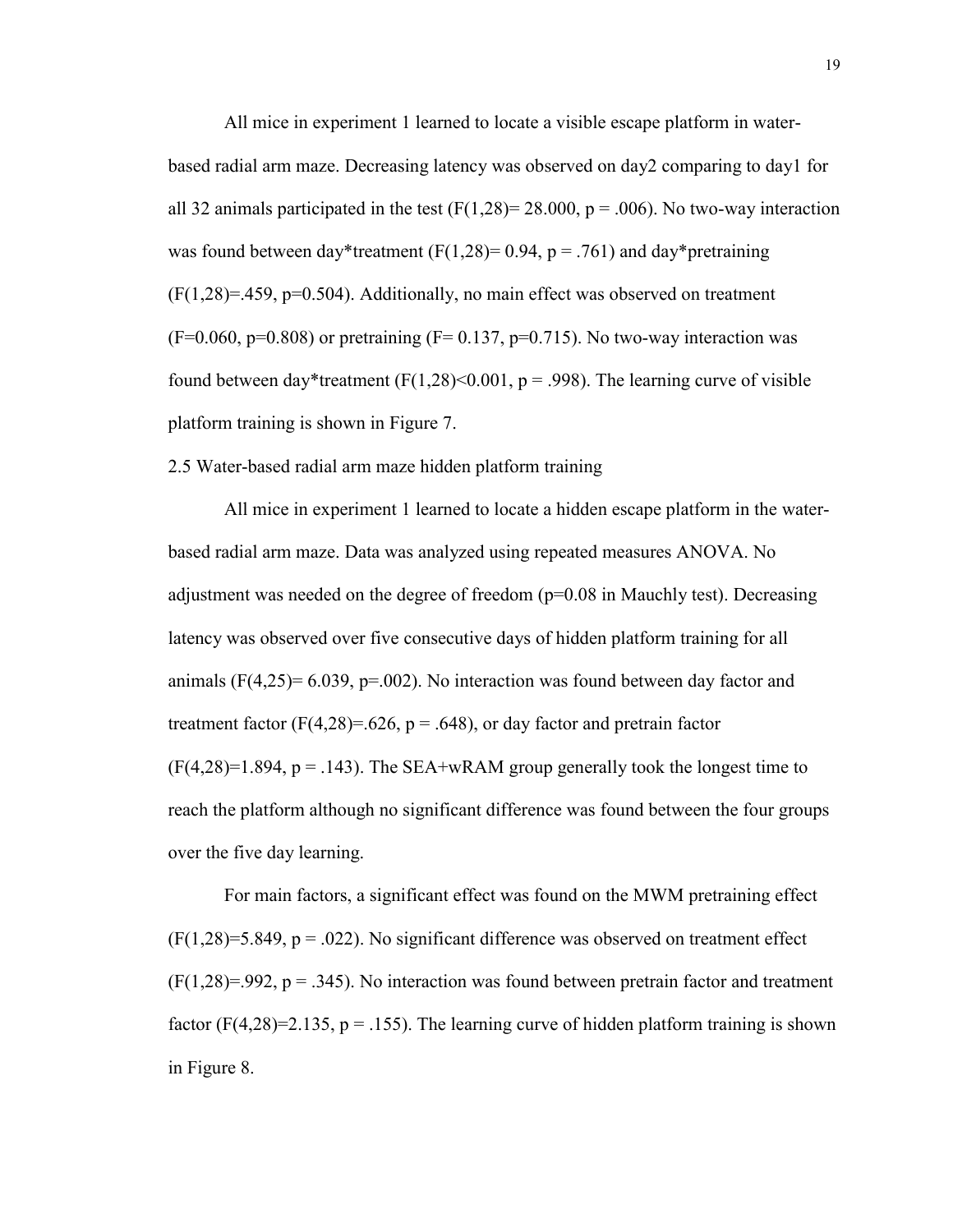All mice in experiment 1 learned to locate a visible escape platform in waterbased radial arm maze. Decreasing latency was observed on day2 comparing to day1 for all 32 animals participated in the test  $(F(1,28)= 28.000, p = .006)$ . No two-way interaction was found between day\*treatment (F(1,28)= 0.94, p = .761) and day\*pretraining  $(F(1,28)=.459, p=0.504)$ . Additionally, no main effect was observed on treatment  $(F=0.060, p=0.808)$  or pretraining  $(F= 0.137, p=0.715)$ . No two-way interaction was found between day\*treatment (F(1,28)<0.001, p = .998). The learning curve of visible platform training is shown in Figure 7.

2.5 Water-based radial arm maze hidden platform training

All mice in experiment 1 learned to locate a hidden escape platform in the waterbased radial arm maze. Data was analyzed using repeated measures ANOVA. No adjustment was needed on the degree of freedom (p=0.08 in Mauchly test). Decreasing latency was observed over five consecutive days of hidden platform training for all animals ( $F(4,25)= 6.039$ ,  $p=.002$ ). No interaction was found between day factor and treatment factor (F(4,28)=.626, p = .648), or day factor and pretrain factor  $(F(4,28)=1.894, p=.143)$ . The SEA+wRAM group generally took the longest time to reach the platform although no significant difference was found between the four groups over the five day learning.

For main factors, a significant effect was found on the MWM pretraining effect  $(F(1,28)=5.849, p = .022)$ . No significant difference was observed on treatment effect  $(F(1,28)=.992, p=.345)$ . No interaction was found between pretrain factor and treatment factor (F(4,28)=2.135,  $p = .155$ ). The learning curve of hidden platform training is shown in Figure 8.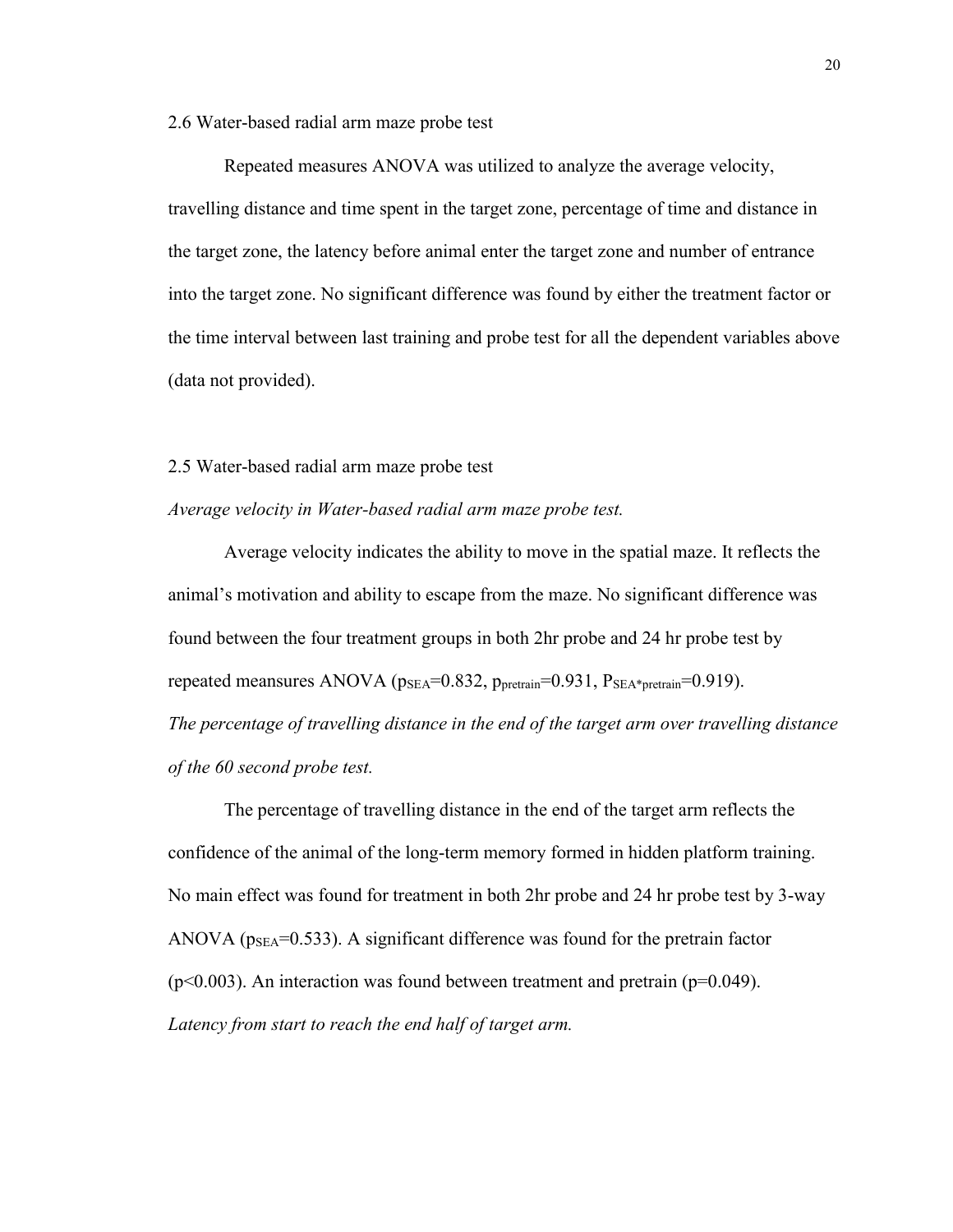#### 2.6 Water-based radial arm maze probe test

Repeated measures ANOVA was utilized to analyze the average velocity, travelling distance and time spent in the target zone, percentage of time and distance in the target zone, the latency before animal enter the target zone and number of entrance into the target zone. No significant difference was found by either the treatment factor or the time interval between last training and probe test for all the dependent variables above (data not provided).

## 2.5 Water-based radial arm maze probe test

# *Average velocity in Water-based radial arm maze probe test.*

Average velocity indicates the ability to move in the spatial maze. It reflects the animal's motivation and ability to escape from the maze. No significant difference was found between the four treatment groups in both 2hr probe and 24 hr probe test by repeated meansures ANOVA ( $p_{SEA}$ =0.832,  $p_{pretrain}$ =0.931,  $P_{SEA*pretrain}$ =0.919). *The percentage of travelling distance in the end of the target arm over travelling distance of the 60 second probe test.*

The percentage of travelling distance in the end of the target arm reflects the confidence of the animal of the long-term memory formed in hidden platform training. No main effect was found for treatment in both 2hr probe and 24 hr probe test by 3-way ANOVA ( $p_{\text{SEA}}$ =0.533). A significant difference was found for the pretrain factor  $(p<0.003)$ . An interaction was found between treatment and pretrain ( $p=0.049$ ). *Latency from start to reach the end half of target arm.*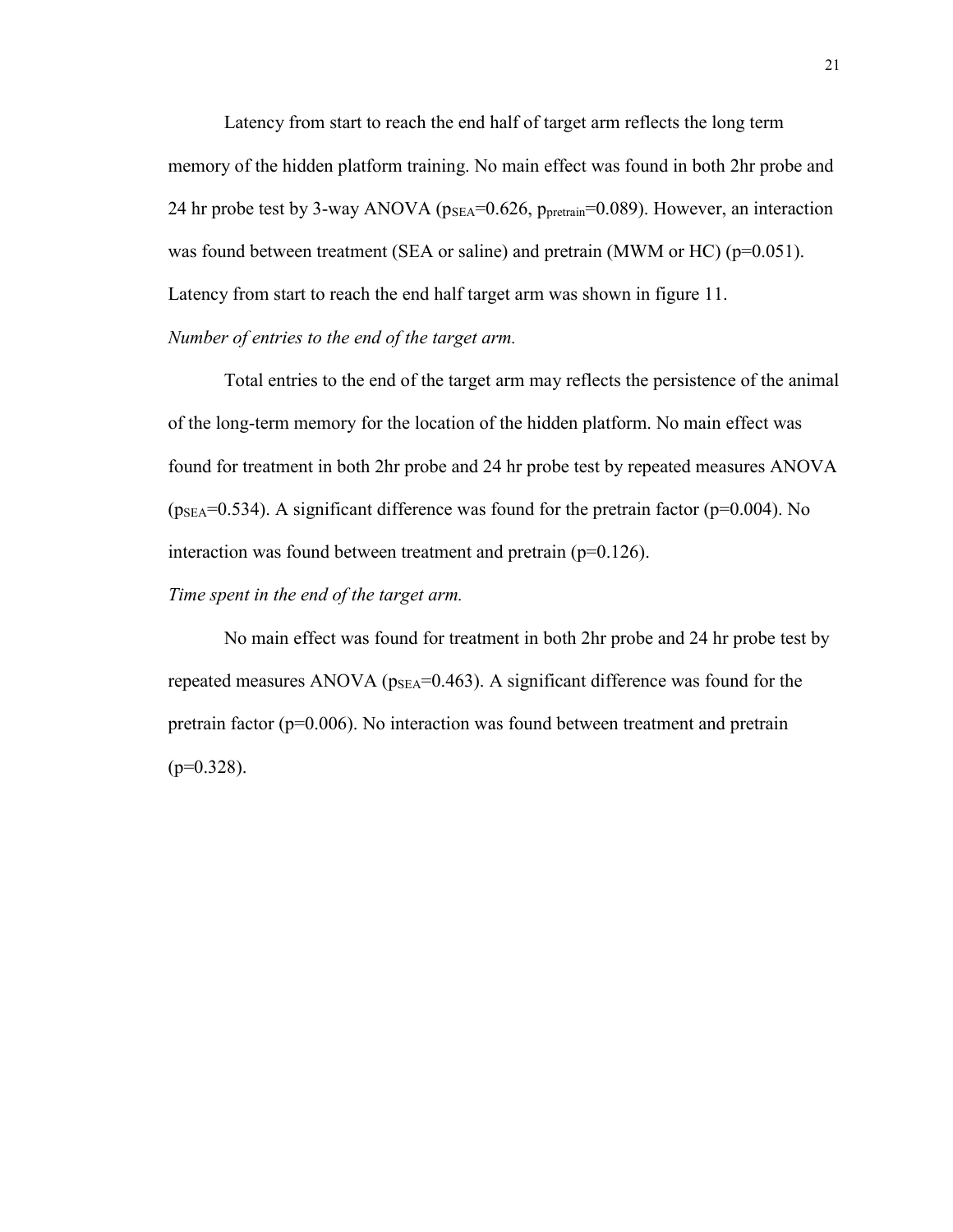Latency from start to reach the end half of target arm reflects the long term memory of the hidden platform training. No main effect was found in both 2hr probe and 24 hr probe test by 3-way ANOVA ( $p_{SEA}$ =0.626,  $p_{pretrain}$ =0.089). However, an interaction was found between treatment (SEA or saline) and pretrain (MWM or HC) ( $p=0.051$ ). Latency from start to reach the end half target arm was shown in figure 11. *Number of entries to the end of the target arm.*

Total entries to the end of the target arm may reflects the persistence of the animal of the long-term memory for the location of the hidden platform. No main effect was found for treatment in both 2hr probe and 24 hr probe test by repeated measures ANOVA  $(p_{\text{SEA}}=0.534)$ . A significant difference was found for the pretrain factor (p=0.004). No interaction was found between treatment and pretrain (p=0.126).

# *Time spent in the end of the target arm.*

No main effect was found for treatment in both 2hr probe and 24 hr probe test by repeated measures ANOVA ( $p_{\text{SEA}}$ =0.463). A significant difference was found for the pretrain factor (p=0.006). No interaction was found between treatment and pretrain  $(p=0.328)$ .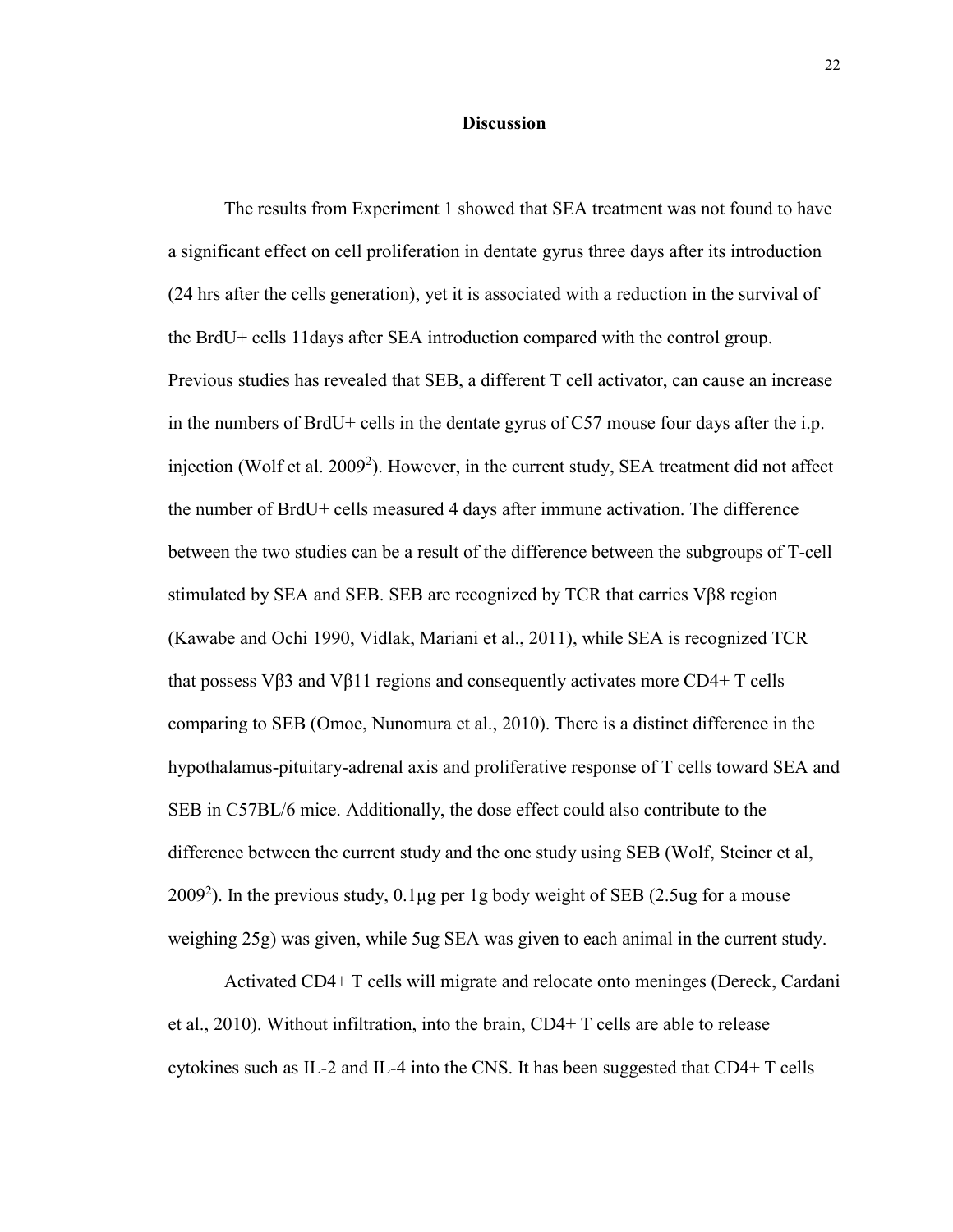# **Discussion**

The results from Experiment 1 showed that SEA treatment was not found to have a significant effect on cell proliferation in dentate gyrus three days after its introduction (24 hrs after the cells generation), yet it is associated with a reduction in the survival of the BrdU+ cells 11days after SEA introduction compared with the control group. Previous studies has revealed that SEB, a different T cell activator, can cause an increase in the numbers of BrdU+ cells in the dentate gyrus of C57 mouse four days after the i.p. injection (Wolf et al. 2009<sup>2</sup>). However, in the current study, SEA treatment did not affect the number of BrdU+ cells measured 4 days after immune activation. The difference between the two studies can be a result of the difference between the subgroups of T-cell stimulated by SEA and SEB. SEB are recognized by TCR that carries Vβ8 region (Kawabe and Ochi 1990, Vidlak, Mariani et al., 2011), while SEA is recognized TCR that possess V $\beta$ 3 and V $\beta$ 11 regions and consequently activates more CD4+ T cells comparing to SEB (Omoe, Nunomura et al., 2010). There is a distinct difference in the hypothalamus-pituitary-adrenal axis and proliferative response of T cells toward SEA and SEB in C57BL/6 mice. Additionally, the dose effect could also contribute to the difference between the current study and the one study using SEB (Wolf, Steiner et al, 2009<sup>2</sup>). In the previous study,  $0.1\mu$ g per 1g body weight of SEB (2.5ug for a mouse weighing 25g) was given, while 5ug SEA was given to each animal in the current study.

Activated CD4+ T cells will migrate and relocate onto meninges (Dereck, Cardani et al., 2010). Without infiltration, into the brain, CD4+ T cells are able to release cytokines such as IL-2 and IL-4 into the CNS. It has been suggested that CD4+ T cells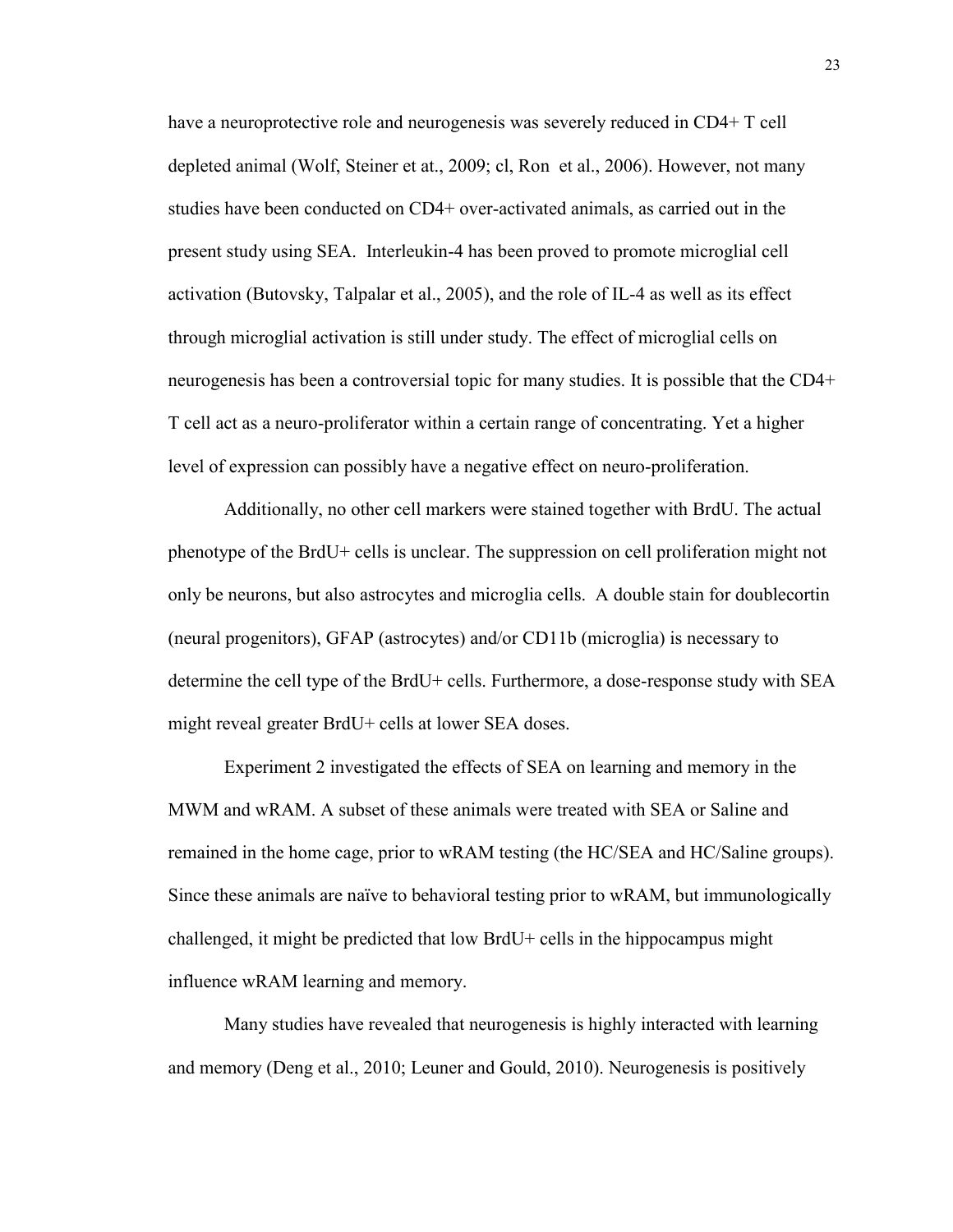have a neuroprotective role and neurogenesis was severely reduced in CD4+ T cell depleted animal (Wolf, Steiner et at., 2009; cl, Ron et al., 2006). However, not many studies have been conducted on CD4+ over-activated animals, as carried out in the present study using SEA. Interleukin-4 has been proved to promote microglial cell activation (Butovsky, Talpalar et al., 2005), and the role of IL-4 as well as its effect through microglial activation is still under study. The effect of microglial cells on neurogenesis has been a controversial topic for many studies. It is possible that the CD4+ T cell act as a neuro-proliferator within a certain range of concentrating. Yet a higher level of expression can possibly have a negative effect on neuro-proliferation.

Additionally, no other cell markers were stained together with BrdU. The actual phenotype of the BrdU+ cells is unclear. The suppression on cell proliferation might not only be neurons, but also astrocytes and microglia cells. A double stain for doublecortin (neural progenitors), GFAP (astrocytes) and/or CD11b (microglia) is necessary to determine the cell type of the BrdU+ cells. Furthermore, a dose-response study with SEA might reveal greater BrdU+ cells at lower SEA doses.

Experiment 2 investigated the effects of SEA on learning and memory in the MWM and wRAM. A subset of these animals were treated with SEA or Saline and remained in the home cage, prior to wRAM testing (the HC/SEA and HC/Saline groups). Since these animals are naïve to behavioral testing prior to wRAM, but immunologically challenged, it might be predicted that low BrdU+ cells in the hippocampus might influence wRAM learning and memory.

Many studies have revealed that neurogenesis is highly interacted with learning and memory (Deng et al., 2010; Leuner and Gould, 2010). Neurogenesis is positively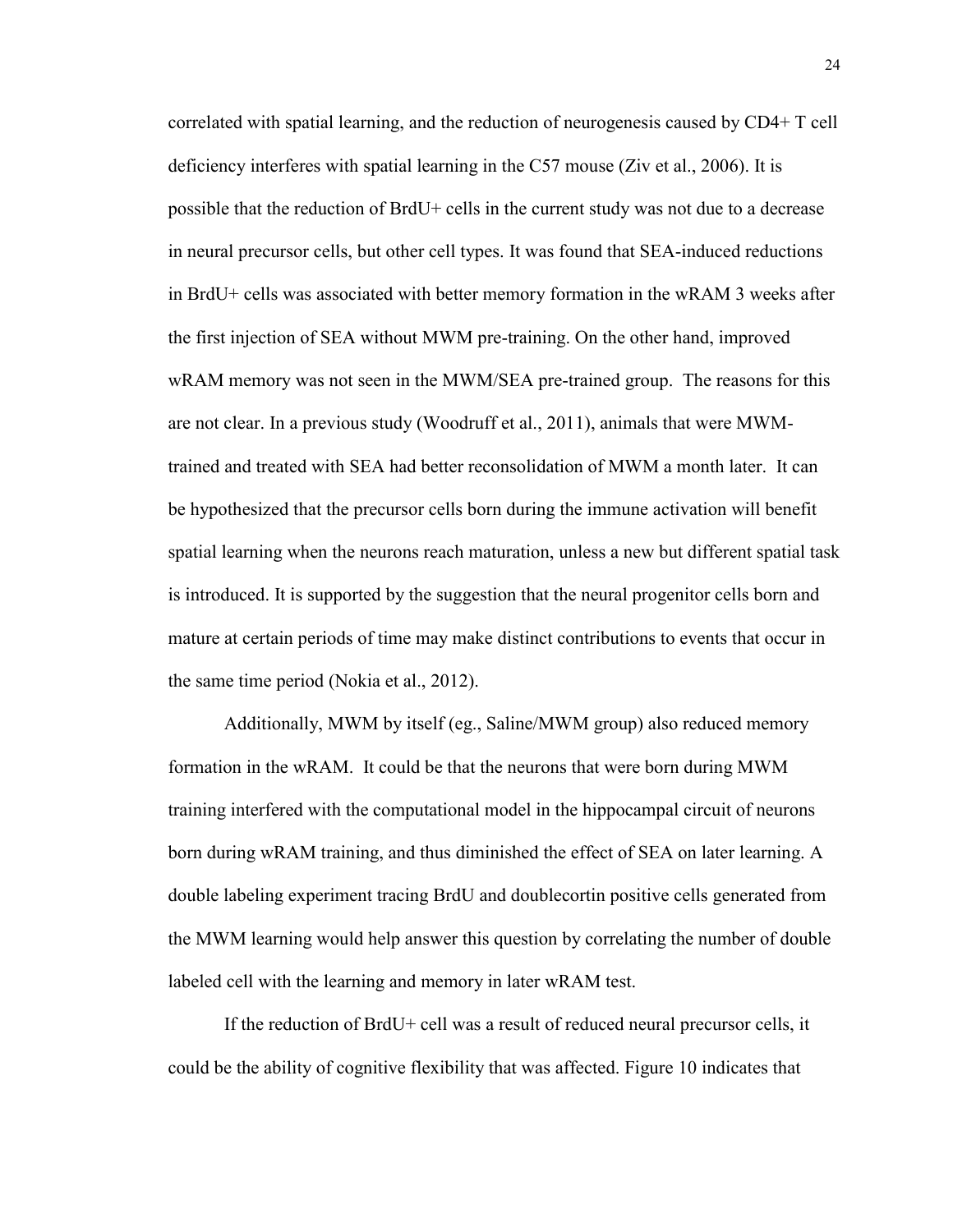correlated with spatial learning, and the reduction of neurogenesis caused by CD4+ T cell deficiency interferes with spatial learning in the C57 mouse (Ziv et al., 2006). It is possible that the reduction of BrdU+ cells in the current study was not due to a decrease in neural precursor cells, but other cell types. It was found that SEA-induced reductions in BrdU+ cells was associated with better memory formation in the wRAM 3 weeks after the first injection of SEA without MWM pre-training. On the other hand, improved wRAM memory was not seen in the MWM/SEA pre-trained group. The reasons for this are not clear. In a previous study (Woodruff et al., 2011), animals that were MWMtrained and treated with SEA had better reconsolidation of MWM a month later. It can be hypothesized that the precursor cells born during the immune activation will benefit spatial learning when the neurons reach maturation, unless a new but different spatial task is introduced. It is supported by the suggestion that the neural progenitor cells born and mature at certain periods of time may make distinct contributions to events that occur in the same time period (Nokia et al., 2012).

Additionally, MWM by itself (eg., Saline/MWM group) also reduced memory formation in the wRAM. It could be that the neurons that were born during MWM training interfered with the computational model in the hippocampal circuit of neurons born during wRAM training, and thus diminished the effect of SEA on later learning. A double labeling experiment tracing BrdU and doublecortin positive cells generated from the MWM learning would help answer this question by correlating the number of double labeled cell with the learning and memory in later wRAM test.

If the reduction of BrdU+ cell was a result of reduced neural precursor cells, it could be the ability of cognitive flexibility that was affected. Figure 10 indicates that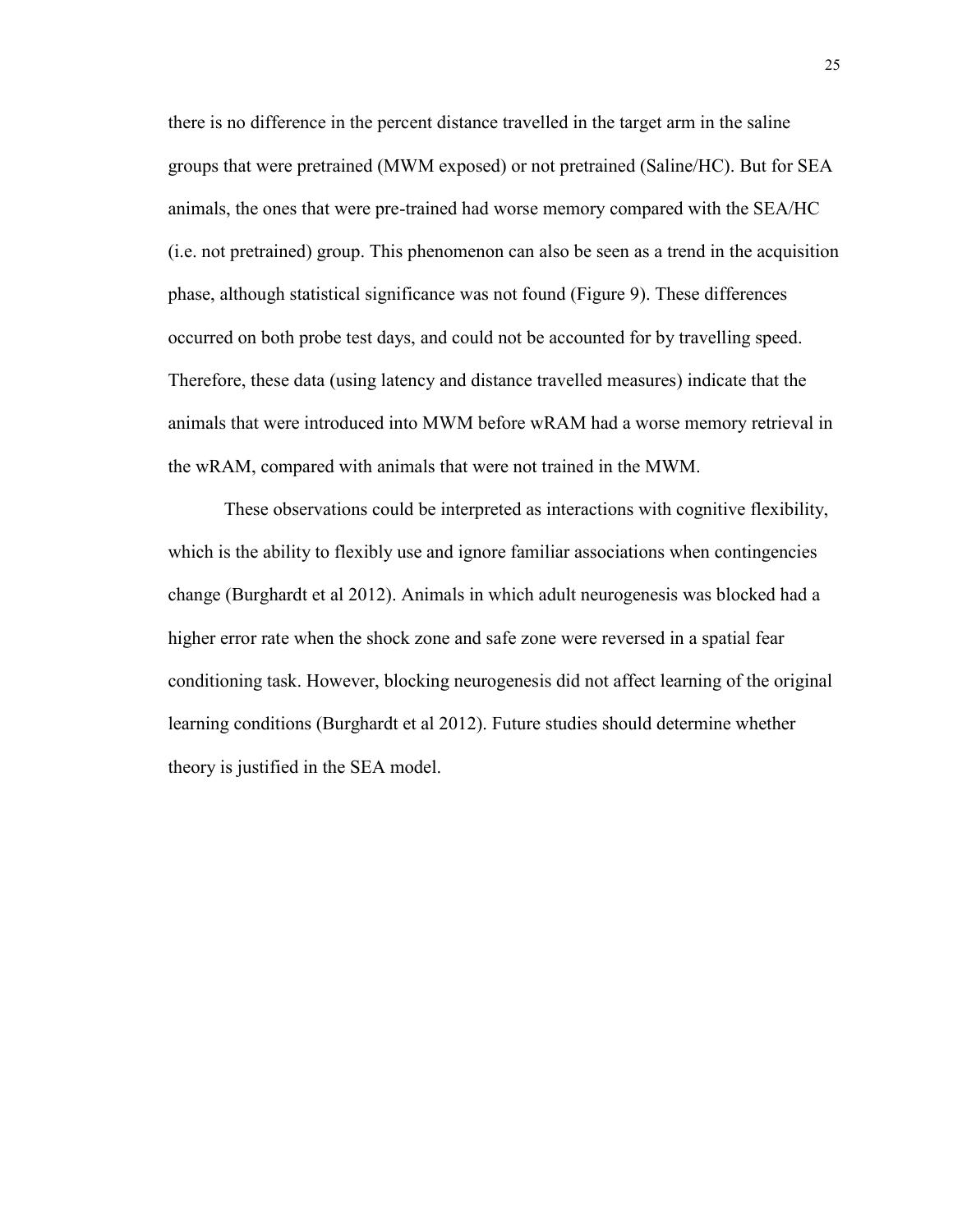there is no difference in the percent distance travelled in the target arm in the saline groups that were pretrained (MWM exposed) or not pretrained (Saline/HC). But for SEA animals, the ones that were pre-trained had worse memory compared with the SEA/HC (i.e. not pretrained) group. This phenomenon can also be seen as a trend in the acquisition phase, although statistical significance was not found (Figure 9). These differences occurred on both probe test days, and could not be accounted for by travelling speed. Therefore, these data (using latency and distance travelled measures) indicate that the animals that were introduced into MWM before wRAM had a worse memory retrieval in the wRAM, compared with animals that were not trained in the MWM.

These observations could be interpreted as interactions with cognitive flexibility, which is the ability to flexibly use and ignore familiar associations when contingencies change (Burghardt et al 2012). Animals in which adult neurogenesis was blocked had a higher error rate when the shock zone and safe zone were reversed in a spatial fear conditioning task. However, blocking neurogenesis did not affect learning of the original learning conditions (Burghardt et al 2012). Future studies should determine whether theory is justified in the SEA model.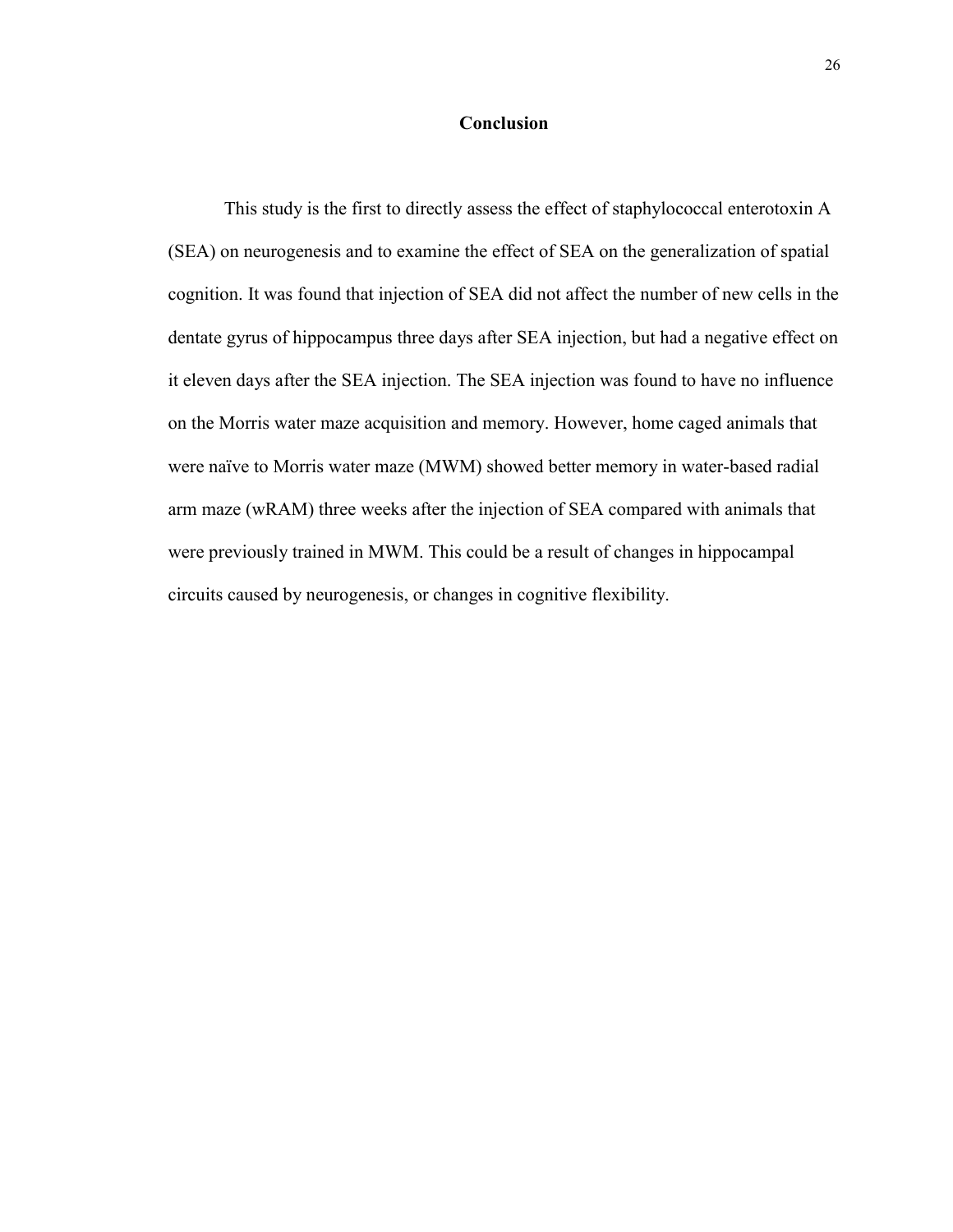# **Conclusion**

This study is the first to directly assess the effect of staphylococcal enterotoxin A (SEA) on neurogenesis and to examine the effect of SEA on the generalization of spatial cognition. It was found that injection of SEA did not affect the number of new cells in the dentate gyrus of hippocampus three days after SEA injection, but had a negative effect on it eleven days after the SEA injection. The SEA injection was found to have no influence on the Morris water maze acquisition and memory. However, home caged animals that were naïve to Morris water maze (MWM) showed better memory in water-based radial arm maze (wRAM) three weeks after the injection of SEA compared with animals that were previously trained in MWM. This could be a result of changes in hippocampal circuits caused by neurogenesis, or changes in cognitive flexibility.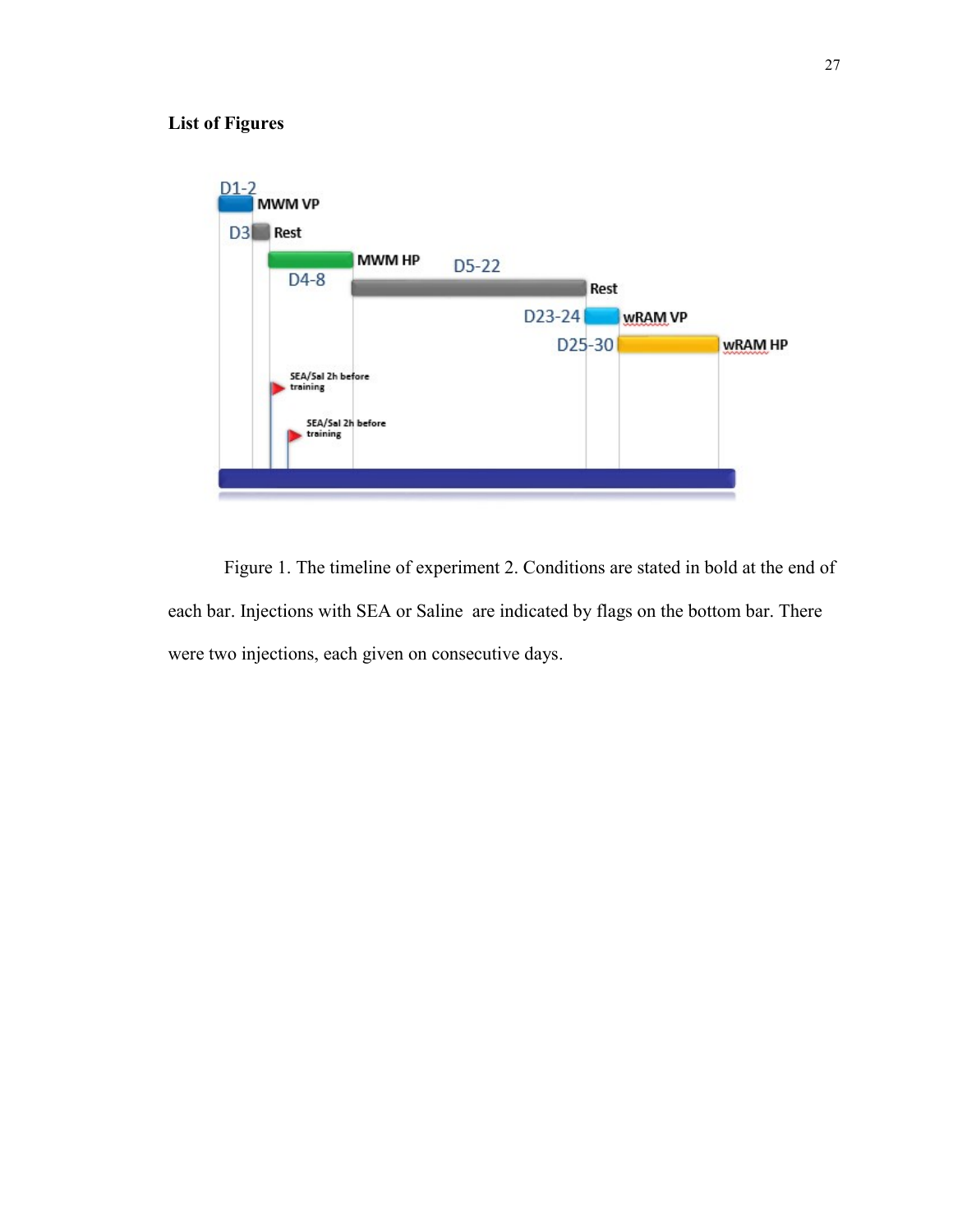# **List of Figures**



Figure 1. The timeline of experiment 2. Conditions are stated in bold at the end of each bar. Injections with SEA or Saline are indicated by flags on the bottom bar. There were two injections, each given on consecutive days.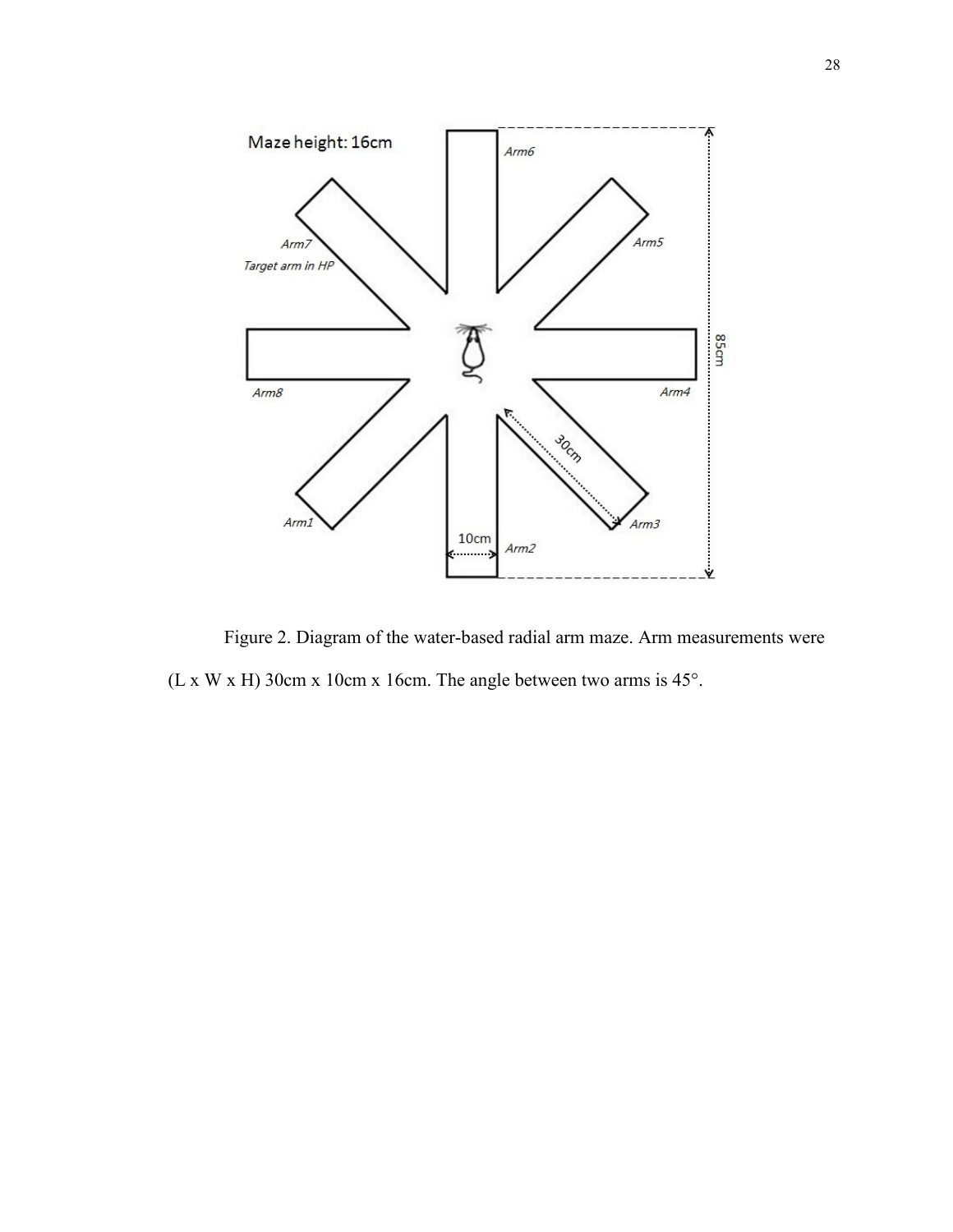

Figure 2. Diagram of the water-based radial arm maze. Arm measurements were (L x W x H) 30cm x 10cm x 16cm. The angle between two arms is 45°.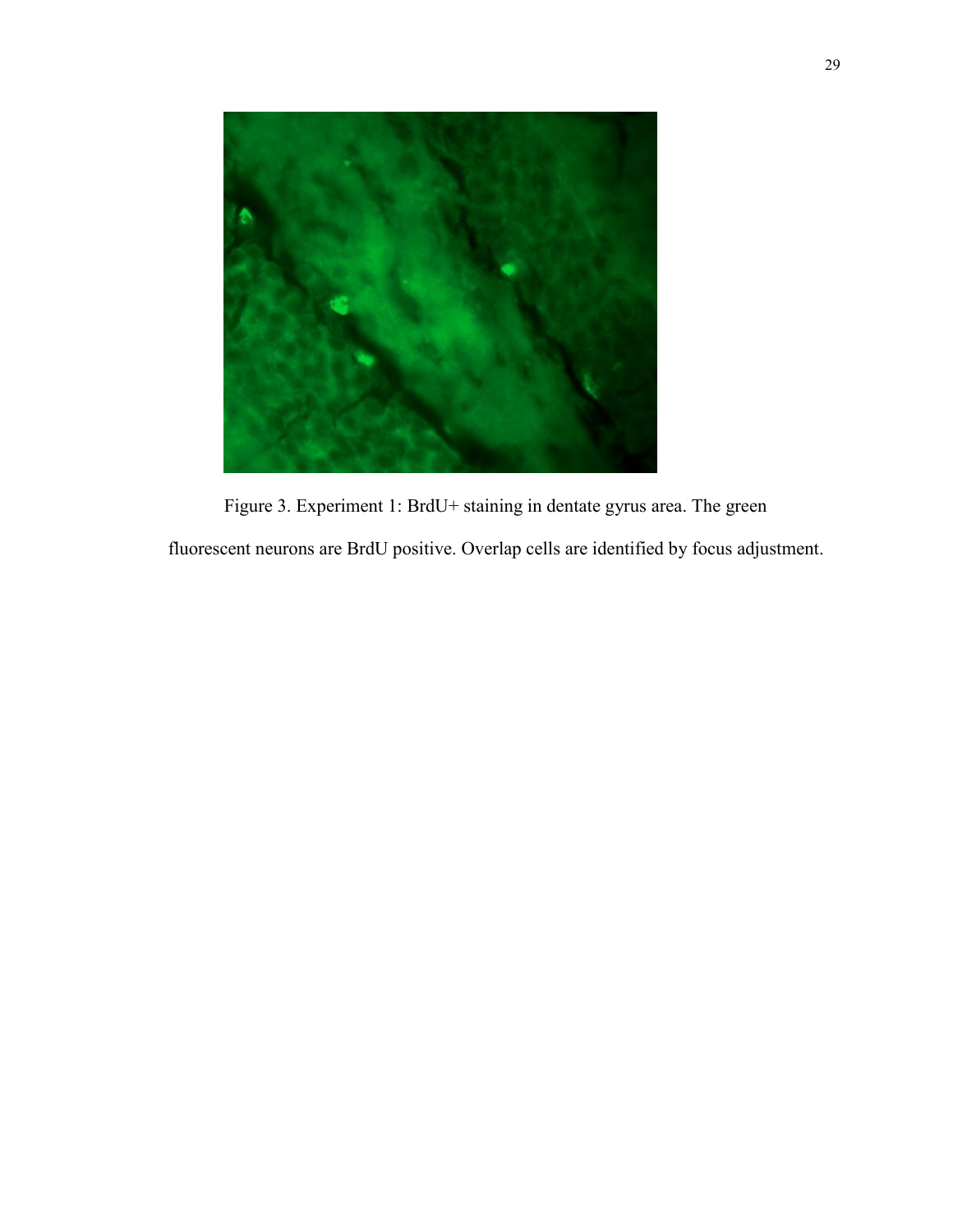

Figure 3. Experiment 1: BrdU+ staining in dentate gyrus area. The green fluorescent neurons are BrdU positive. Overlap cells are identified by focus adjustment.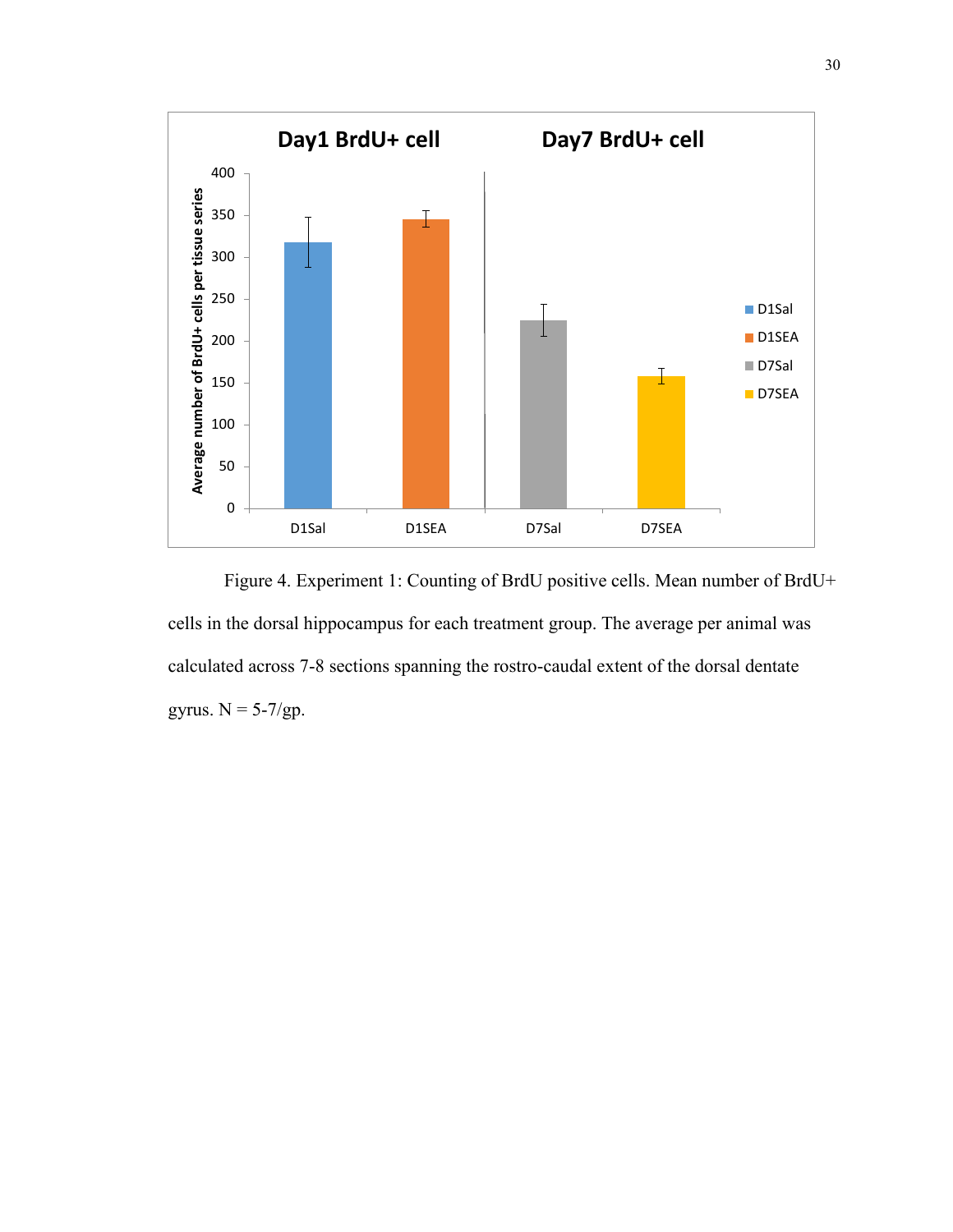

Figure 4. Experiment 1: Counting of BrdU positive cells. Mean number of BrdU+ cells in the dorsal hippocampus for each treatment group. The average per animal was calculated across 7-8 sections spanning the rostro-caudal extent of the dorsal dentate gyrus.  $N = 5-7/gp$ .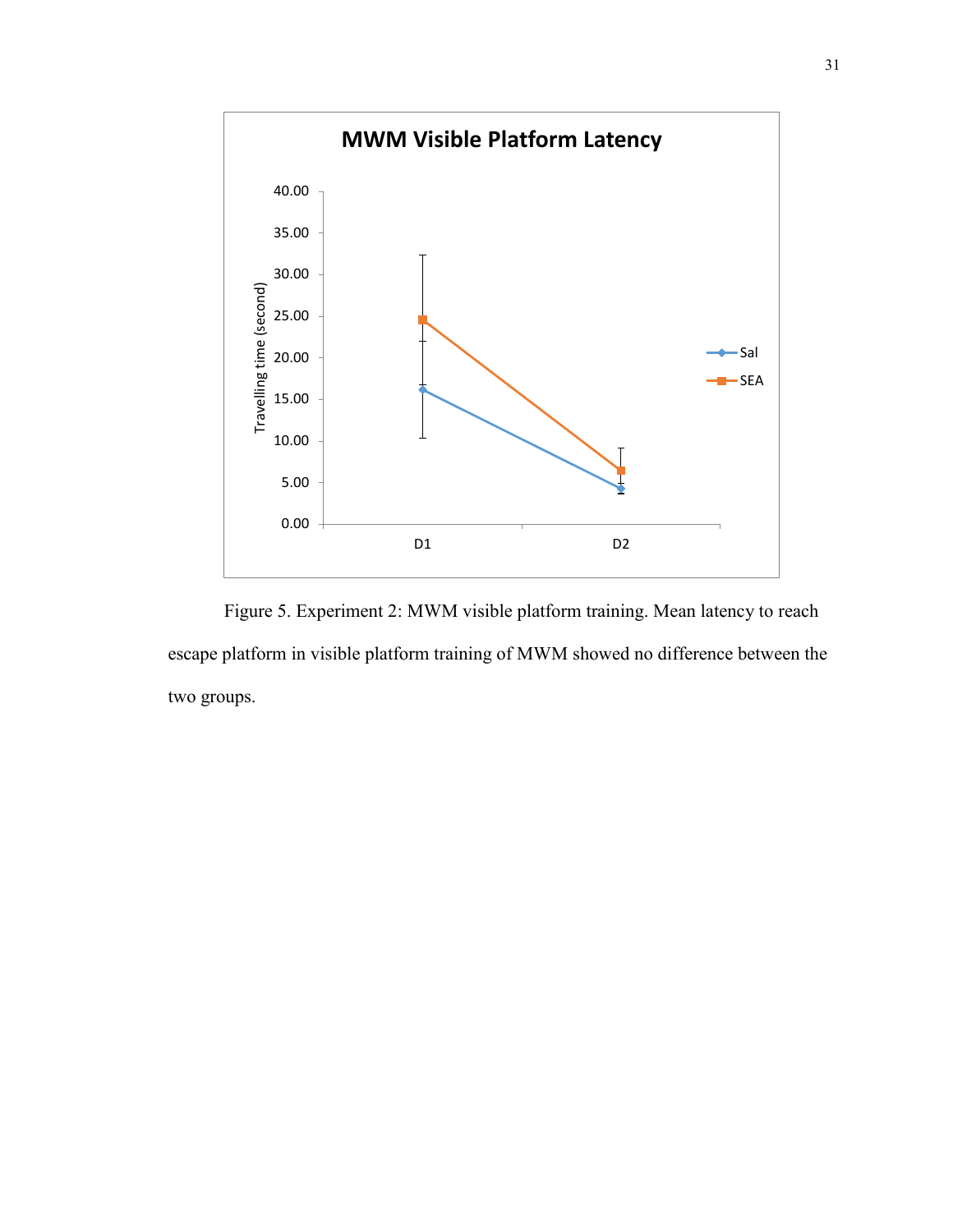

Figure 5. Experiment 2: MWM visible platform training. Mean latency to reach escape platform in visible platform training of MWM showed no difference between the two groups.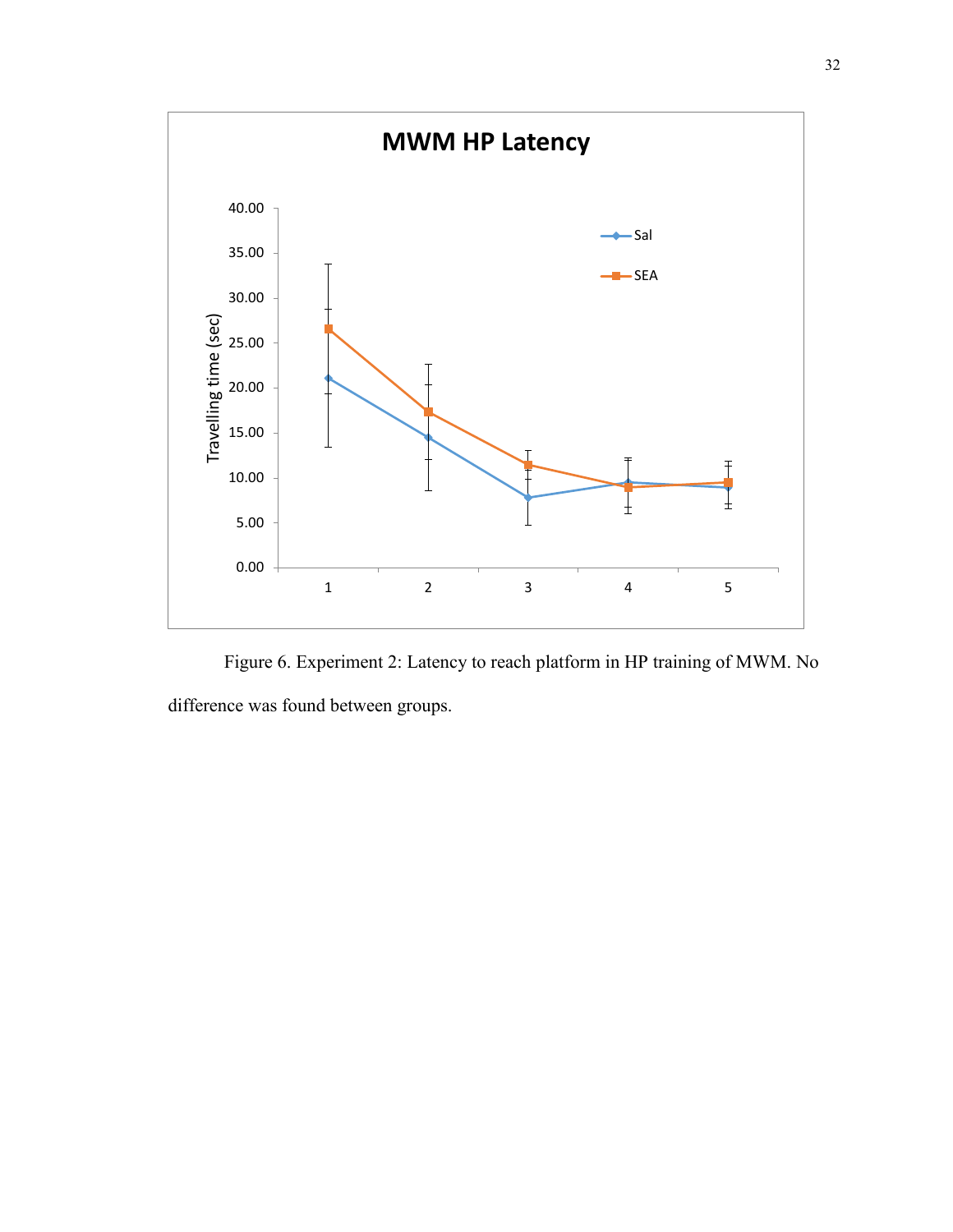

Figure 6. Experiment 2: Latency to reach platform in HP training of MWM. No difference was found between groups.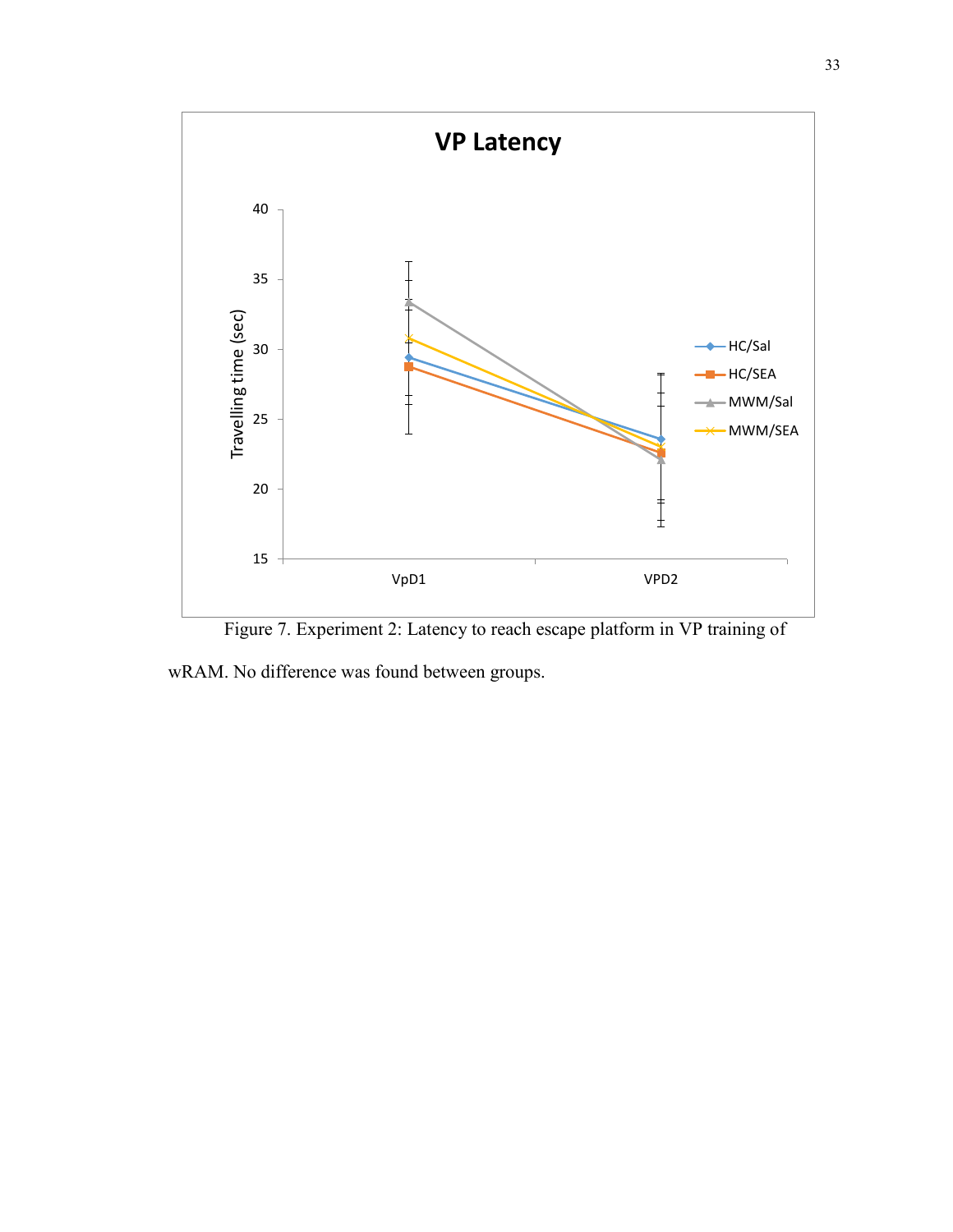

Figure 7. Experiment 2: Latency to reach escape platform in VP training of

wRAM. No difference was found between groups.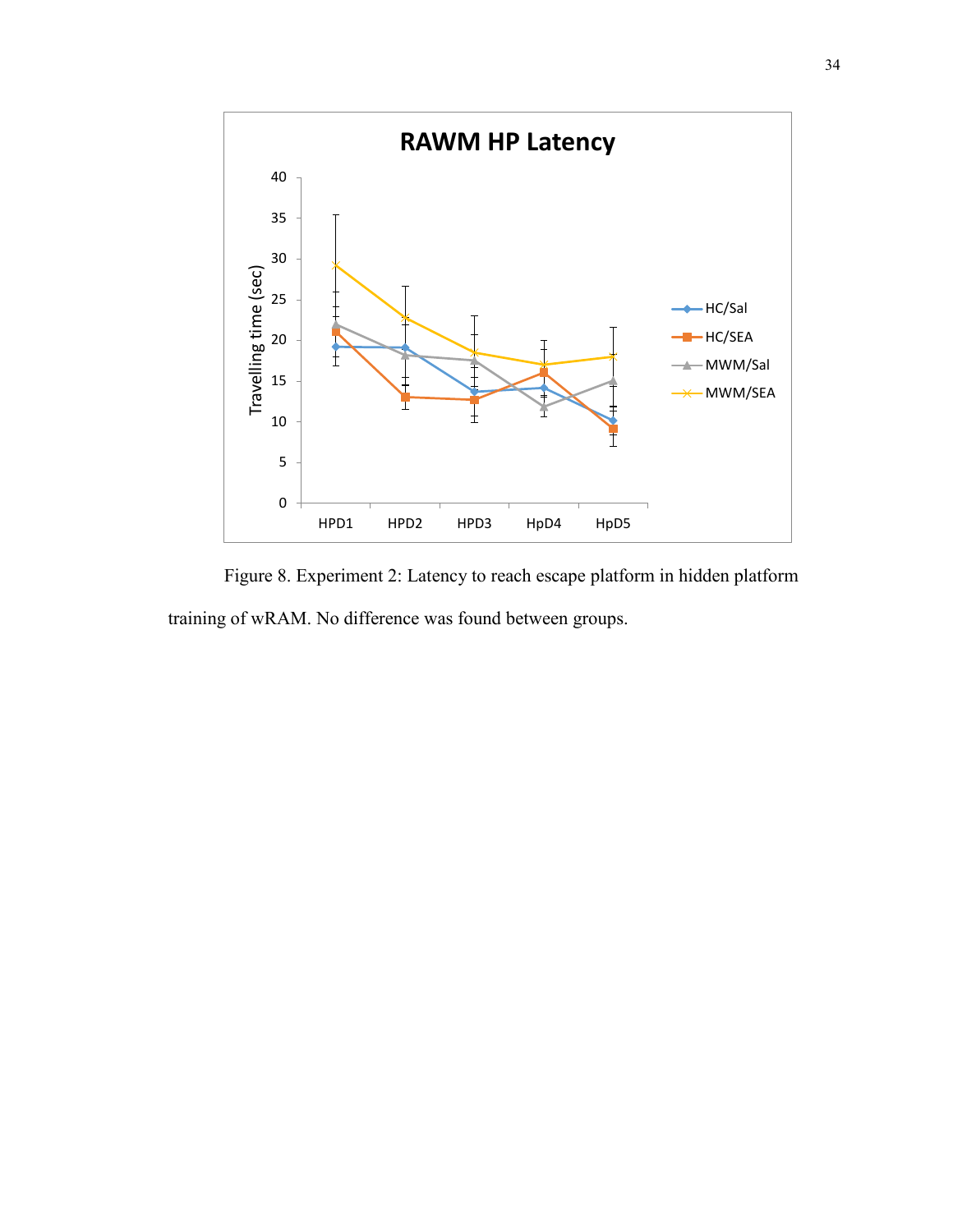

Figure 8. Experiment 2: Latency to reach escape platform in hidden platform training of wRAM. No difference was found between groups.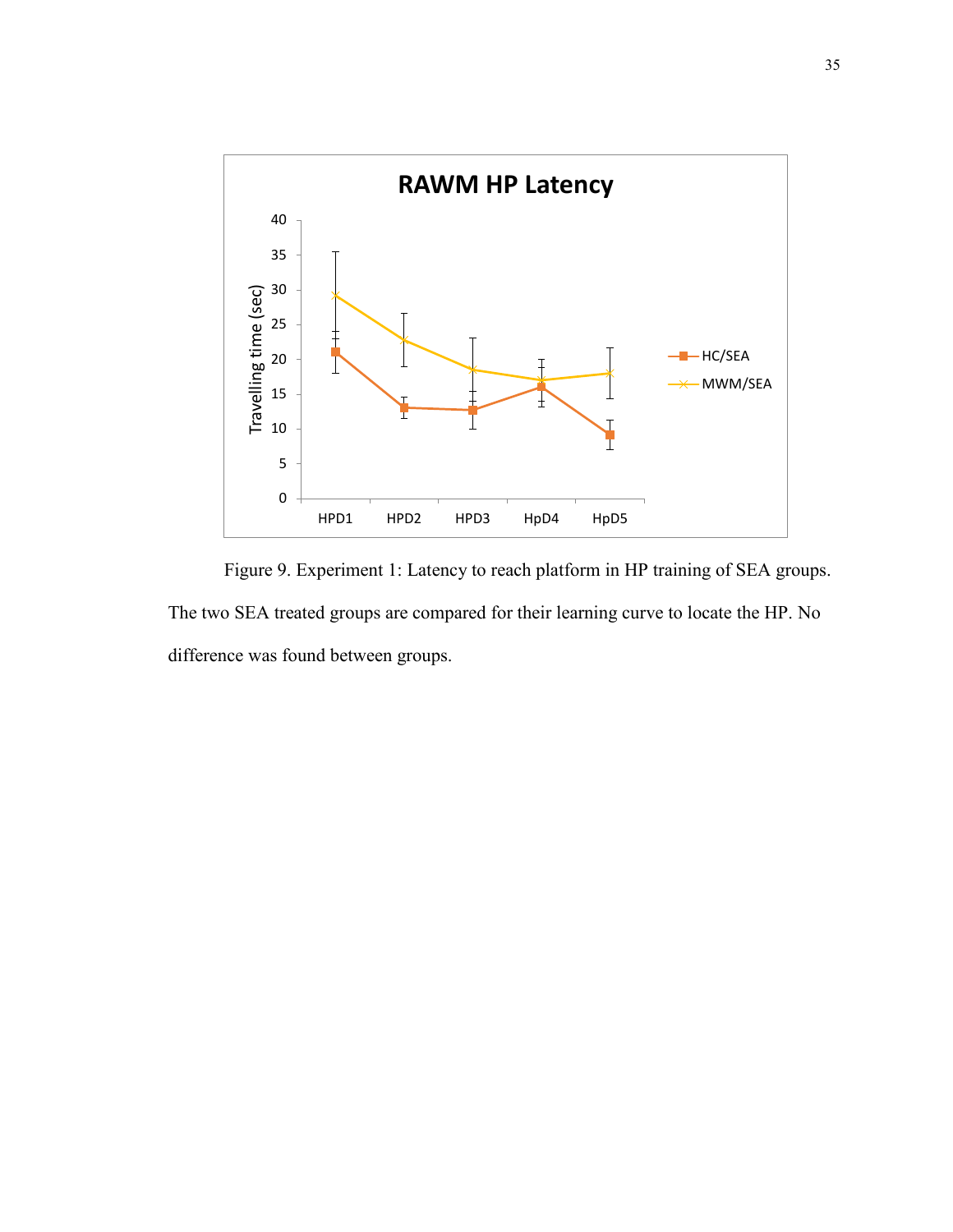

Figure 9. Experiment 1: Latency to reach platform in HP training of SEA groups. The two SEA treated groups are compared for their learning curve to locate the HP. No difference was found between groups.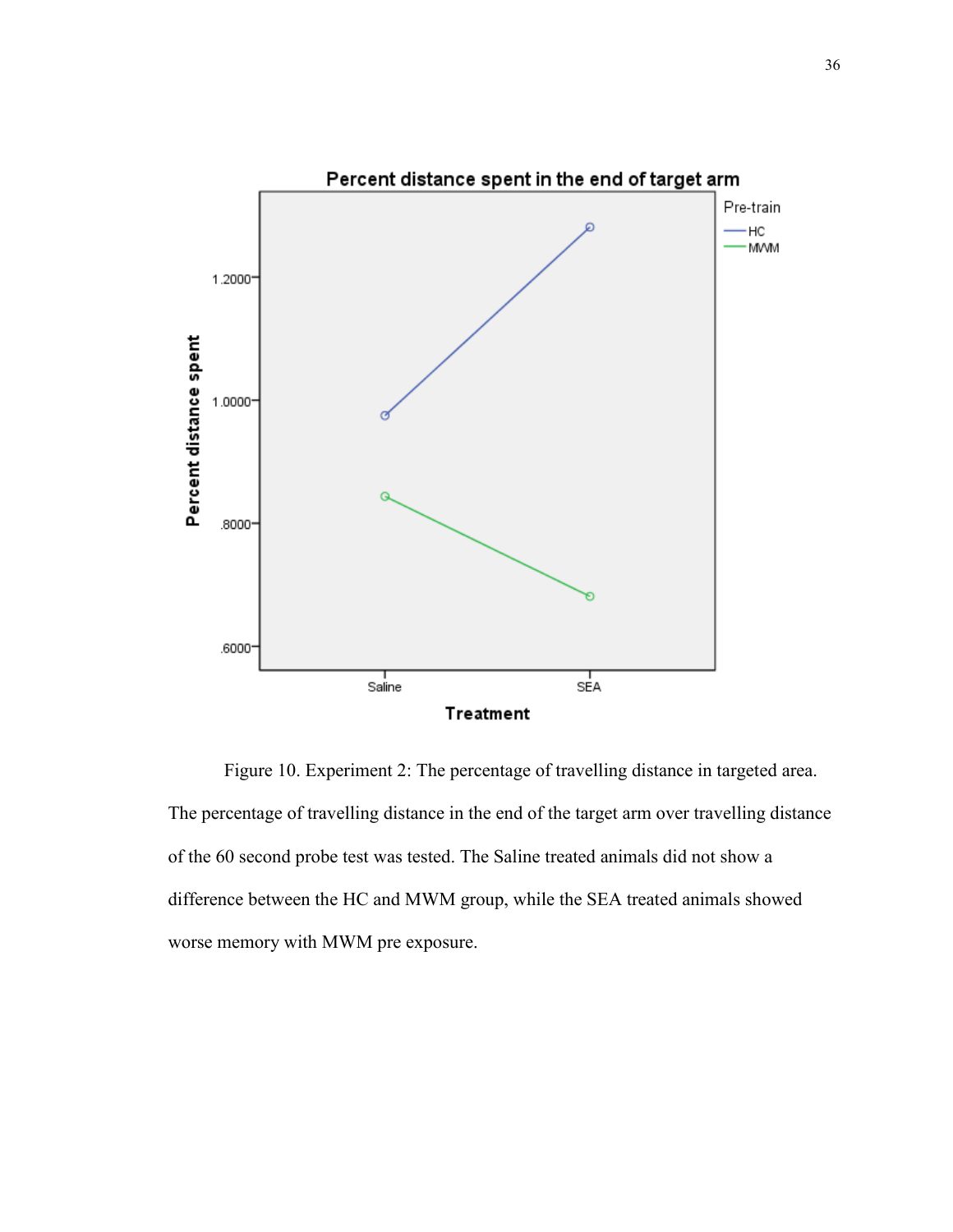

Figure 10. Experiment 2: The percentage of travelling distance in targeted area. The percentage of travelling distance in the end of the target arm over travelling distance of the 60 second probe test was tested. The Saline treated animals did not show a difference between the HC and MWM group, while the SEA treated animals showed worse memory with MWM pre exposure.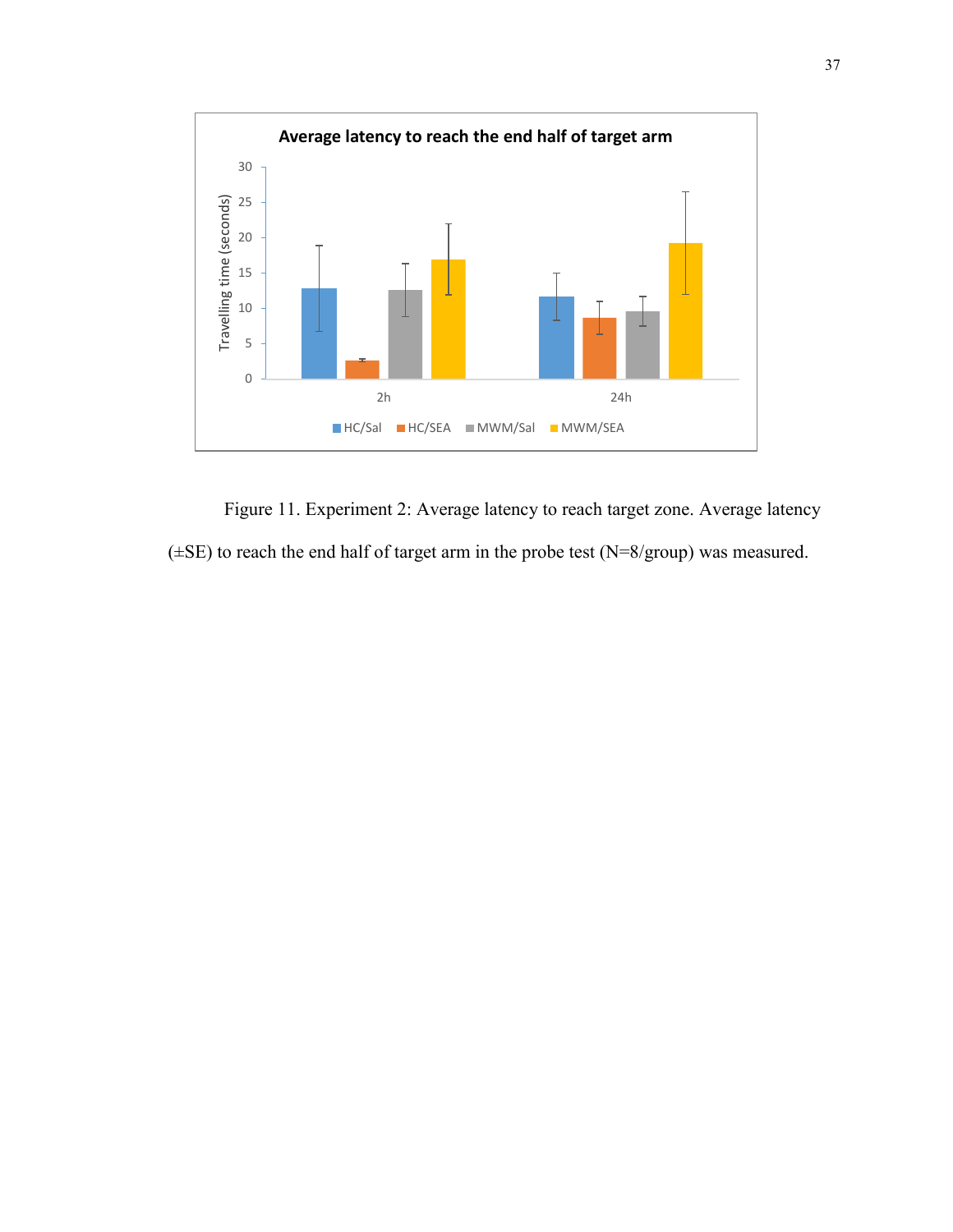

Figure 11. Experiment 2: Average latency to reach target zone. Average latency  $(\pm SE)$  to reach the end half of target arm in the probe test (N=8/group) was measured.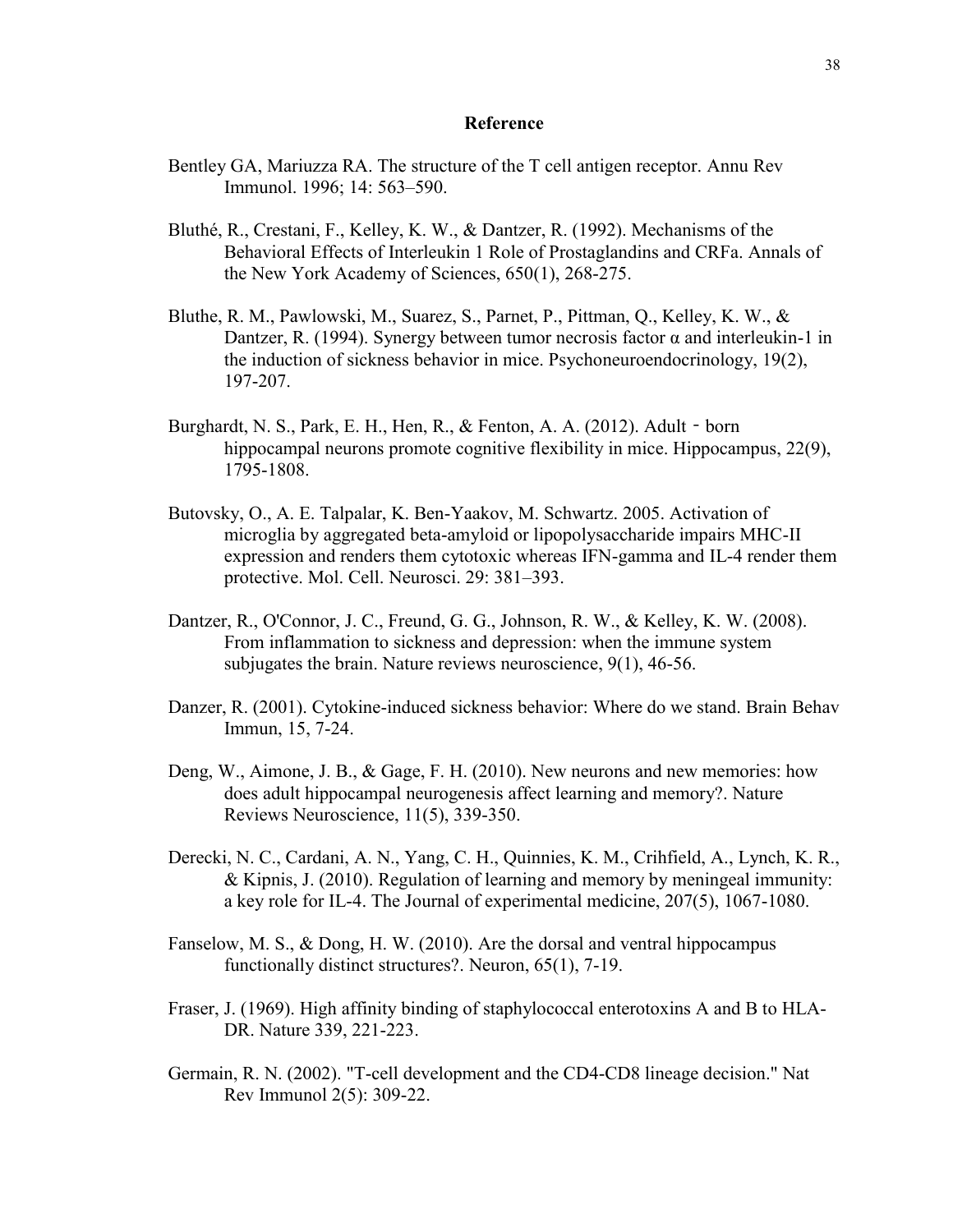# **Reference**

- Bentley GA, Mariuzza RA. The structure of the T cell antigen receptor. Annu Rev Immunol. 1996; 14: 563–590.
- Bluthé, R., Crestani, F., Kelley, K. W., & Dantzer, R. (1992). Mechanisms of the Behavioral Effects of Interleukin 1 Role of Prostaglandins and CRFa. Annals of the New York Academy of Sciences, 650(1), 268-275.
- Bluthe, R. M., Pawlowski, M., Suarez, S., Parnet, P., Pittman, Q., Kelley, K. W., & Dantzer, R. (1994). Synergy between tumor necrosis factor  $\alpha$  and interleukin-1 in the induction of sickness behavior in mice. Psychoneuroendocrinology, 19(2), 197-207.
- Burghardt, N. S., Park, E. H., Hen, R., & Fenton, A. A. (2012). Adult‐born hippocampal neurons promote cognitive flexibility in mice. Hippocampus, 22(9), 1795-1808.
- Butovsky, O., A. E. Talpalar, K. Ben-Yaakov, M. Schwartz. 2005. Activation of microglia by aggregated beta-amyloid or lipopolysaccharide impairs MHC-II expression and renders them cytotoxic whereas IFN-gamma and IL-4 render them protective. Mol. Cell. Neurosci. 29: 381–393.
- Dantzer, R., O'Connor, J. C., Freund, G. G., Johnson, R. W., & Kelley, K. W. (2008). From inflammation to sickness and depression: when the immune system subjugates the brain. Nature reviews neuroscience, 9(1), 46-56.
- Danzer, R. (2001). Cytokine-induced sickness behavior: Where do we stand. Brain Behav Immun, 15, 7-24.
- Deng, W., Aimone, J. B., & Gage, F. H. (2010). New neurons and new memories: how does adult hippocampal neurogenesis affect learning and memory?. Nature Reviews Neuroscience, 11(5), 339-350.
- Derecki, N. C., Cardani, A. N., Yang, C. H., Quinnies, K. M., Crihfield, A., Lynch, K. R., & Kipnis, J. (2010). Regulation of learning and memory by meningeal immunity: a key role for IL-4. The Journal of experimental medicine, 207(5), 1067-1080.
- Fanselow, M. S., & Dong, H. W. (2010). Are the dorsal and ventral hippocampus functionally distinct structures?. Neuron, 65(1), 7-19.
- Fraser, J. (1969). High affinity binding of staphylococcal enterotoxins A and B to HLA-DR. Nature 339, 221-223.
- Germain, R. N. (2002). "T-cell development and the CD4-CD8 lineage decision." Nat Rev Immunol 2(5): 309-22.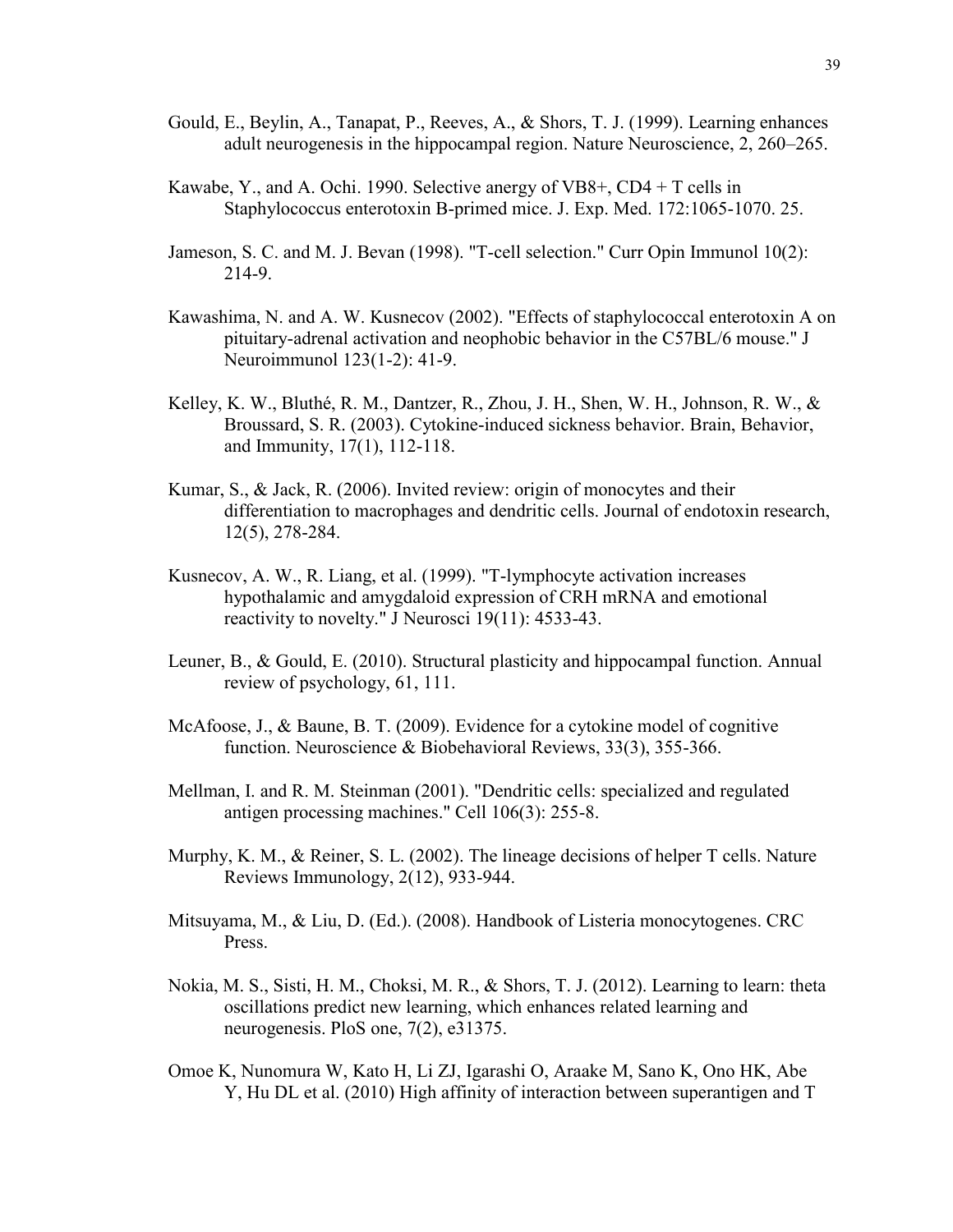- Gould, E., Beylin, A., Tanapat, P., Reeves, A., & Shors, T. J. (1999). Learning enhances adult neurogenesis in the hippocampal region. Nature Neuroscience, 2, 260–265.
- Kawabe, Y., and A. Ochi. 1990. Selective anergy of VB8+, CD4 + T cells in Staphylococcus enterotoxin B-primed mice. J. Exp. Med. 172:1065-1070. 25.
- Jameson, S. C. and M. J. Bevan (1998). "T-cell selection." Curr Opin Immunol 10(2): 214-9.
- Kawashima, N. and A. W. Kusnecov (2002). "Effects of staphylococcal enterotoxin A on pituitary-adrenal activation and neophobic behavior in the C57BL/6 mouse." J Neuroimmunol 123(1-2): 41-9.
- Kelley, K. W., Bluthé, R. M., Dantzer, R., Zhou, J. H., Shen, W. H., Johnson, R. W., & Broussard, S. R. (2003). Cytokine-induced sickness behavior. Brain, Behavior, and Immunity, 17(1), 112-118.
- Kumar, S., & Jack, R. (2006). Invited review: origin of monocytes and their differentiation to macrophages and dendritic cells. Journal of endotoxin research, 12(5), 278-284.
- Kusnecov, A. W., R. Liang, et al. (1999). "T-lymphocyte activation increases hypothalamic and amygdaloid expression of CRH mRNA and emotional reactivity to novelty." J Neurosci 19(11): 4533-43.
- Leuner, B., & Gould, E. (2010). Structural plasticity and hippocampal function. Annual review of psychology, 61, 111.
- McAfoose, J., & Baune, B. T. (2009). Evidence for a cytokine model of cognitive function. Neuroscience & Biobehavioral Reviews, 33(3), 355-366.
- Mellman, I. and R. M. Steinman (2001). "Dendritic cells: specialized and regulated antigen processing machines." Cell 106(3): 255-8.
- Murphy, K. M., & Reiner, S. L. (2002). The lineage decisions of helper T cells. Nature Reviews Immunology, 2(12), 933-944.
- Mitsuyama, M., & Liu, D. (Ed.). (2008). Handbook of Listeria monocytogenes. CRC Press.
- Nokia, M. S., Sisti, H. M., Choksi, M. R., & Shors, T. J. (2012). Learning to learn: theta oscillations predict new learning, which enhances related learning and neurogenesis. PloS one, 7(2), e31375.
- Omoe K, Nunomura W, Kato H, Li ZJ, Igarashi O, Araake M, Sano K, Ono HK, Abe Y, Hu DL et al. (2010) High affinity of interaction between superantigen and T